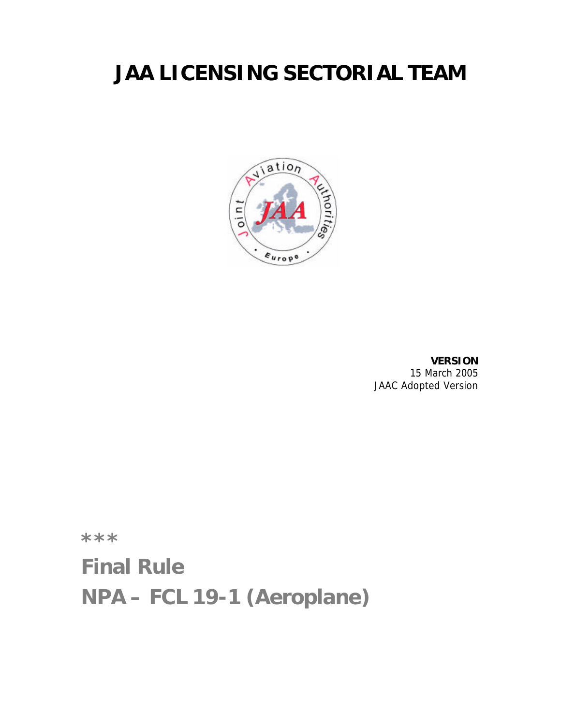# **JAA LICENSING SECTORIAL TEAM**



**VERSION** 15 March 2005 JAAC Adopted Version

**\*\*\***

**Final Rule**

**NPA – FCL 19-1 (Aeroplane)**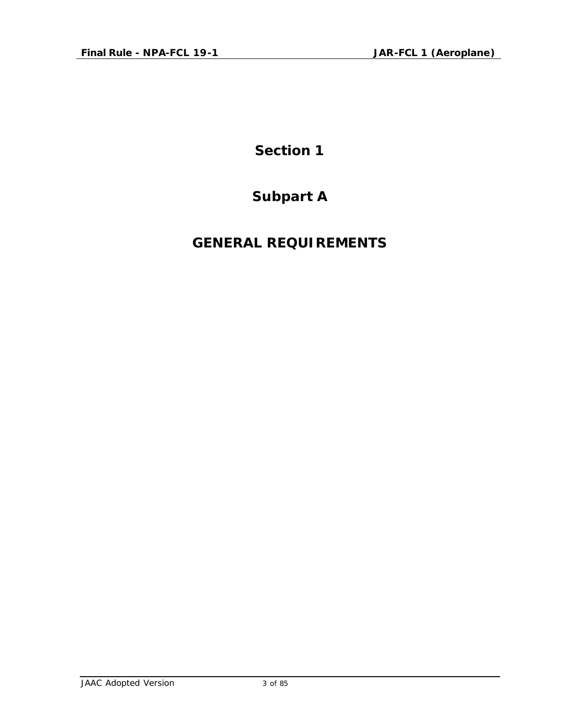**Section 1**

### **Subpart A**

### **GENERAL REQUIREMENTS**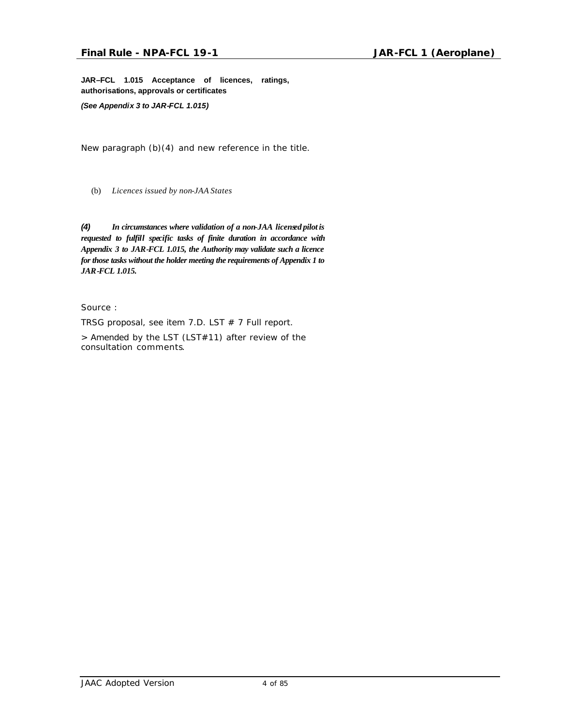**JAR–FCL 1.015 Acceptance of licences, ratings, authorisations, approvals or certificates**

*(See Appendix 3 to JAR-FCL 1.015)*

*New paragraph (b)(4) and new reference in the title.*

(b) *Licences issued by non-JAA States*

*(4) In circumstances where validation of a non-JAA licensed pilot is requested to fulfill specific tasks of finite duration in accordance with Appendix 3 to JAR-FCL 1.015, the Authority may validate such a licence for those tasks without the holder meeting the requirements of Appendix 1 to JAR-FCL 1.015.*

Source :

TRSG proposal, see item 7.D. LST  $# 7$  Full report.

*> Amended by the LST (LST#11) after review of the consultation comments.*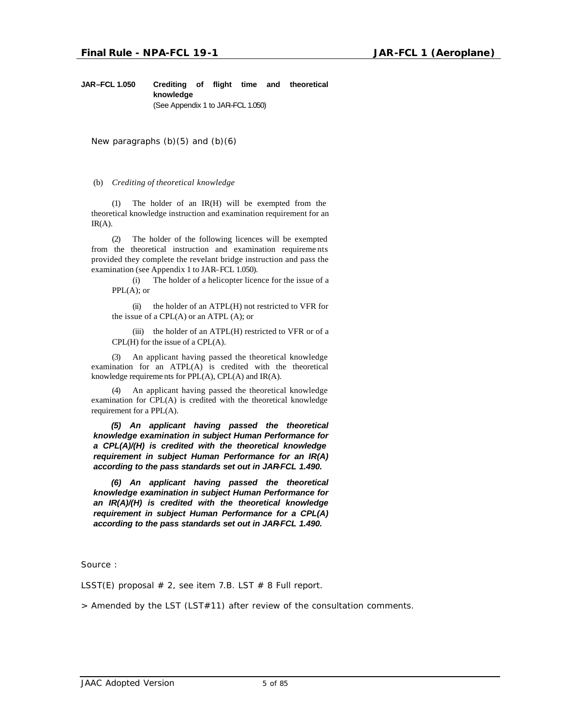**JAR–FCL 1.050 Crediting of flight time and theoretical knowledge** (See Appendix 1 to JAR–FCL 1.050)

*New paragraphs (b)(5) and (b)(6)*

(b) *Crediting of theoretical knowledge*

(1) The holder of an IR(H) will be exempted from the theoretical knowledge instruction and examination requirement for an  $IR(A)$ .

(2) The holder of the following licences will be exempted from the theoretical instruction and examination requireme nts provided they complete the revelant bridge instruction and pass the examination (see Appendix 1 to JAR–FCL 1.050).

(i) The holder of a helicopter licence for the issue of a PPL(A); or

 $(ii)$  the holder of an ATPL $(H)$  not restricted to VFR for the issue of a  $CPL(A)$  or an ATPL  $(A)$ ; or

 $(iii)$  the holder of an ATPL $(H)$  restricted to VFR or of a CPL(H) for the issue of a CPL(A).

(3) An applicant having passed the theoretical knowledge examination for an ATPL(A) is credited with the theoretical knowledge requireme nts for PPL(A), CPL(A) and IR(A).

An applicant having passed the theoretical knowledge examination for CPL(A) is credited with the theoretical knowledge requirement for a PPL(A).

*(5) An applicant having passed the theoretical knowledge examination in subject Human Performance for a CPL(A)/(H) is credited with the theoretical knowledge requirement in subject Human Performance for an IR(A) according to the pass standards set out in JAR-FCL 1.490.*

*(6) An applicant having passed the theoretical knowledge examination in subject Human Performance for an IR(A)/(H) is credited with the theoretical knowledge requirement in subject Human Performance for a CPL(A) according to the pass standards set out in JAR-FCL 1.490.*

Source :

LSST(E) proposal  $# 2$ , see item 7.B. LST  $# 8$  Full report.

*> Amended by the LST (LST#11) after review of the consultation comments.*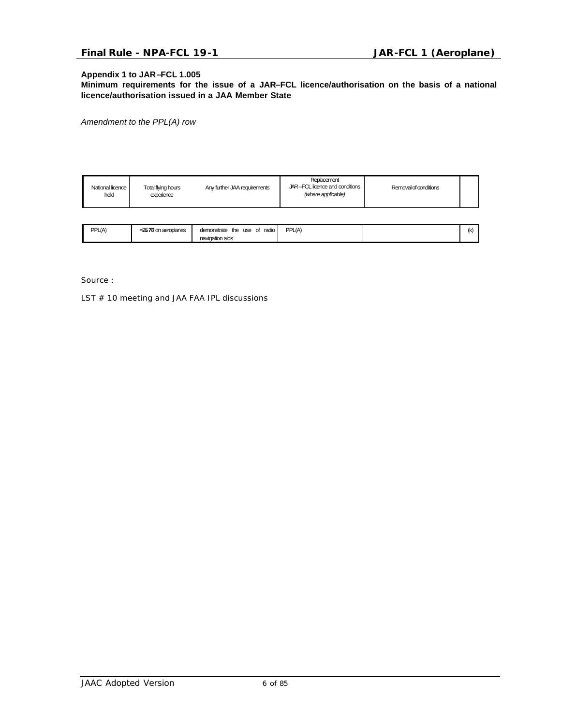#### **Appendix 1 to JAR–FCL 1.005**

**Minimum requirements for the issue of a JAR–FCL licence/authorisation on the basis of a national licence/authorisation issued in a JAA Member State**

*Amendment to the PPL(A) row*

| National licence<br>held | Total flying hours<br>experience | Any further JAA requirements                    | Replacement<br>JAR-FCL licence and conditions<br>(where applicable) | Removal of conditions |     |
|--------------------------|----------------------------------|-------------------------------------------------|---------------------------------------------------------------------|-----------------------|-----|
|                          |                                  |                                                 |                                                                     |                       |     |
| PPL(A)                   | $=75$ 70 on aeroplanes           | demonstrate the use of radio<br>navigation aids | PPL(A)                                                              |                       | (k) |

Source :

LST # 10 meeting and JAA FAA IPL discussions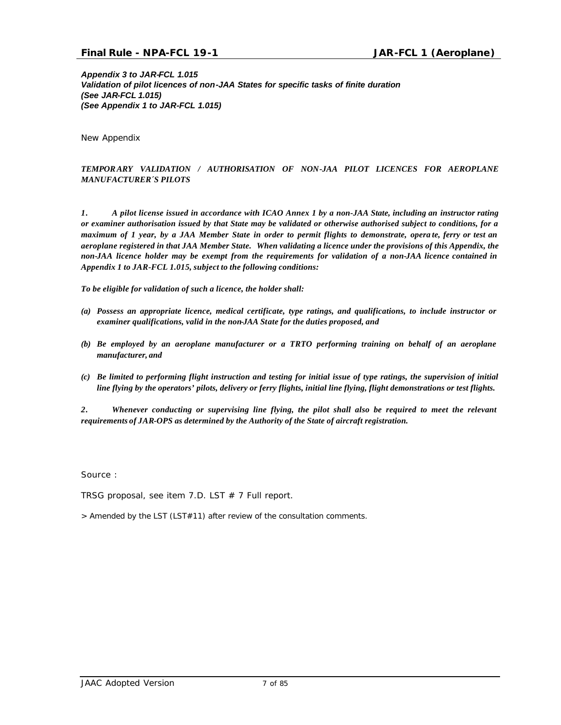*Appendix 3 to JAR-FCL 1.015 Validation of pilot licences of non-JAA States for specific tasks of finite duration (See JAR-FCL 1.015) (See Appendix 1 to JAR-FCL 1.015)*

*New Appendix*

#### *TEMPORARY VALIDATION / AUTHORISATION OF NON-JAA PILOT LICENCES FOR AEROPLANE MANUFACTURER´S PILOTS*

*1. A pilot license issued in accordance with ICAO Annex 1 by a non-JAA State, including an instructor rating or examiner authorisation issued by that State may be validated or otherwise authorised subject to conditions, for a maximum of 1 year, by a JAA Member State in order to permit flights to demonstrate, opera te, ferry or test an aeroplane registered in that JAA Member State. When validating a licence under the provisions of this Appendix, the non-JAA licence holder may be exempt from the requirements for validation of a non-JAA licence contained in Appendix 1 to JAR-FCL 1.015, subject to the following conditions:* 

*To be eligible for validation of such a licence, the holder shall:*

- *(a) Possess an appropriate licence, medical certificate, type ratings, and qualifications, to include instructor or examiner qualifications, valid in the non-JAA State for the duties proposed, and*
- *(b) Be employed by an aeroplane manufacturer or a TRTO performing training on behalf of an aeroplane manufacturer, and*
- *(c) Be limited to performing flight instruction and testing for initial issue of type ratings, the supervision of initial line flying by the operators' pilots, delivery or ferry flights, initial line flying, flight demonstrations or test flights.*

*2. Whenever conducting or supervising line flying, the pilot shall also be required to meet the relevant requirements of JAR-OPS as determined by the Authority of the State of aircraft registration.* 

Source :

TRSG proposal, see item 7.D. LST  $# 7$  Full report.

*> Amended by the LST (LST#11) after review of the consultation comments.*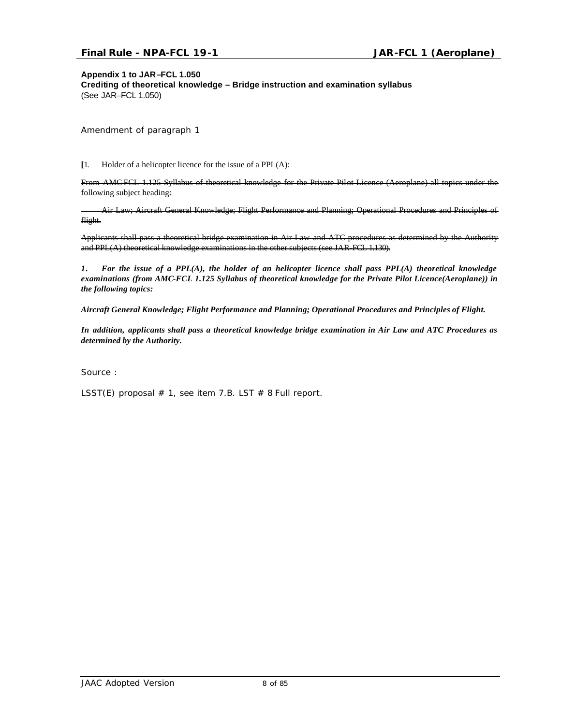#### **Appendix 1 to JAR–FCL 1.050**

**Crediting of theoretical knowledge – Bridge instruction and examination syllabus** (See JAR–FCL 1.050)

*Amendment of paragraph 1*

**[**1. Holder of a helicopter licence for the issue of a PPL(A):

From AMC-FCL 1.125 Syllabus of theoretical knowledge for the Private Pilot Licence (Aeroplane) all topics under the following subject heading:

Air Law; Aircraft General Knowledge; Flight Performance and Planning; Operational Procedures and Principles of flight.

Applicants shall pass a theoretical bridge examination in Air Law and ATC procedures as determined by the Authority and PPL(A) theoretical knowledge examinations in the other subjects (see JAR-FCL 1.130).

*1. For the issue of a PPL(A), the holder of an helicopter licence shall pass PPL(A) theoretical knowledge examinations (from AMC-FCL 1.125 Syllabus of theoretical knowledge for the Private Pilot Licence(Aeroplane)) in the following topics:*

*Aircraft General Knowledge; Flight Performance and Planning; Operational Procedures and Principles of Flight.*

*In addition, applicants shall pass a theoretical knowledge bridge examination in Air Law and ATC Procedures as determined by the Authority.*

Source :

LSST(E) proposal  $# 1$ , see item 7.B. LST  $# 8$  Full report.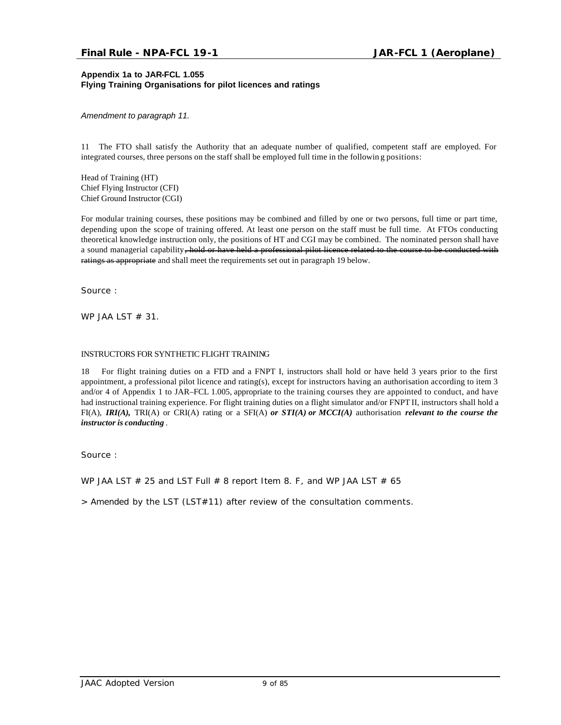#### **Appendix 1a to JAR-FCL 1.055 Flying Training Organisations for pilot licences and ratings**

*Amendment to paragraph 11.*

11 The FTO shall satisfy the Authority that an adequate number of qualified, competent staff are employed. For integrated courses, three persons on the staff shall be employed full time in the followin g positions:

Head of Training (HT) Chief Flying Instructor (CFI) Chief Ground Instructor (CGI)

For modular training courses, these positions may be combined and filled by one or two persons, full time or part time, depending upon the scope of training offered. At least one person on the staff must be full time. At FTOs conducting theoretical knowledge instruction only, the positions of HT and CGI may be combined. The nominated person shall have a sound managerial capability, hold or have held a professional pilot licence related to the course to be conducted with ratings as appropriate and shall meet the requirements set out in paragraph 19 below.

Source :

WP JAA LST  $# 31$ .

#### INSTRUCTORS FOR SYNTHETIC FLIGHT TRAINING

18 For flight training duties on a FTD and a FNPT I, instructors shall hold or have held 3 years prior to the first appointment, a professional pilot licence and rating(s), except for instructors having an authorisation according to item 3 and/or 4 of Appendix 1 to JAR–FCL 1.005, appropriate to the training courses they are appointed to conduct, and have had instructional training experience. For flight training duties on a flight simulator and/or FNPT II, instructors shall hold a FI(A), *IRI(A),* TRI(A) or CRI(A) rating or a SFI(A) *or STI(A) or MCCI(A)* authorisation *relevant to the course the instructor is conducting* .

Source :

WP JAA LST  $\#$  25 and LST Full  $\#$  8 report Item 8. F, and WP JAA LST  $\#$  65

*> Amended by the LST (LST#11) after review of the consultation comments.*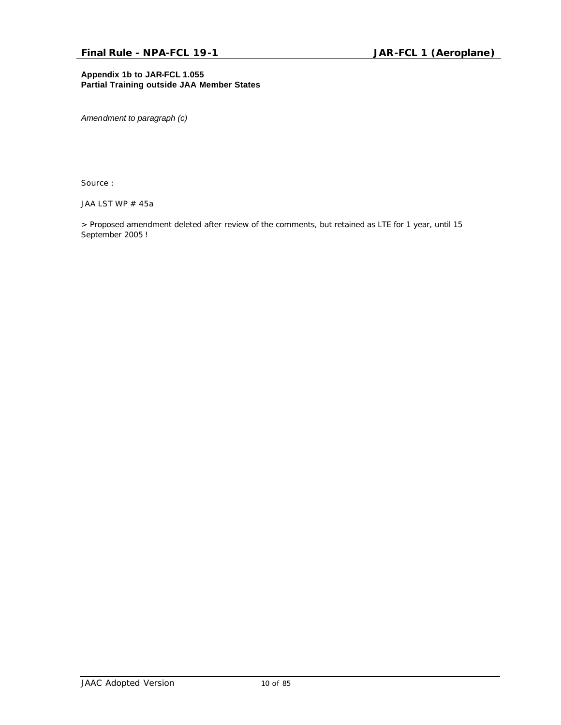#### **Appendix 1b to JAR-FCL 1.055 Partial Training outside JAA Member States**

*Amendment to paragraph (c)* 

Source :

JAA LST WP # 45a

*> Proposed amendment deleted after review of the comments, but retained as LTE for 1 year, until 15 September 2005 !*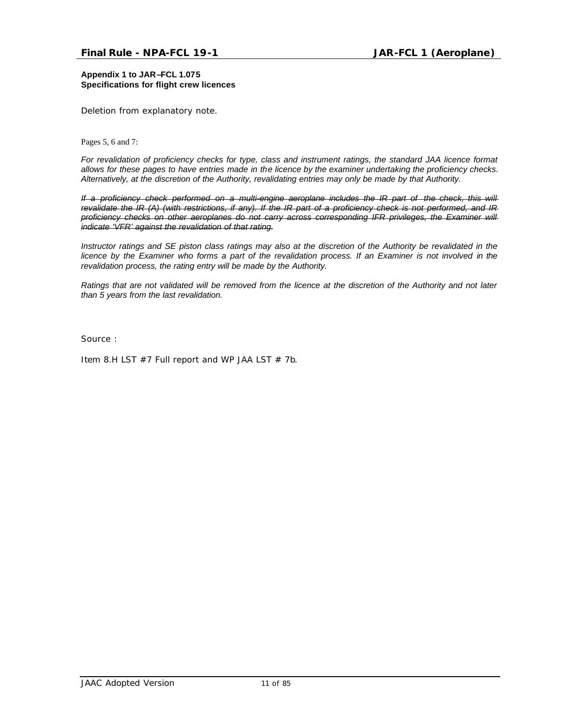**Appendix 1 to JAR–FCL 1.075 Specifications for flight crew licences**

*Deletion from explanatory note.*

Pages 5, 6 and 7:

*For revalidation of proficiency checks for type, class and instrument ratings, the standard JAA licence format allows for these pages to have entries made in the licence by the examiner undertaking the proficiency checks. Alternatively, at the discretion of the Authority, revalidating entries may only be made by that Authority.*

*If a proficiency check performed on a multi-engine aeroplane includes the IR part of the check, this will revalidate the IR (A) (with restrictions, if any). If the IR part of a proficiency check is not performed, and IR proficiency checks on other aeroplanes do not carry across corresponding IFR privileges, the Examiner will indicate 'VFR' against the revalidation of that rating.*

*Instructor ratings and SE piston class ratings may also at the discretion of the Authority be revalidated in the licence by the Examiner who forms a part of the revalidation process. If an Examiner is not involved in the revalidation process, the rating entry will be made by the Authority.*

*Ratings that are not validated will be removed from the licence at the discretion of the Authority and not later than 5 years from the last revalidation.*

Source :

Item 8.H LST  $#7$  Full report and WP JAA LST  $# 7b$ .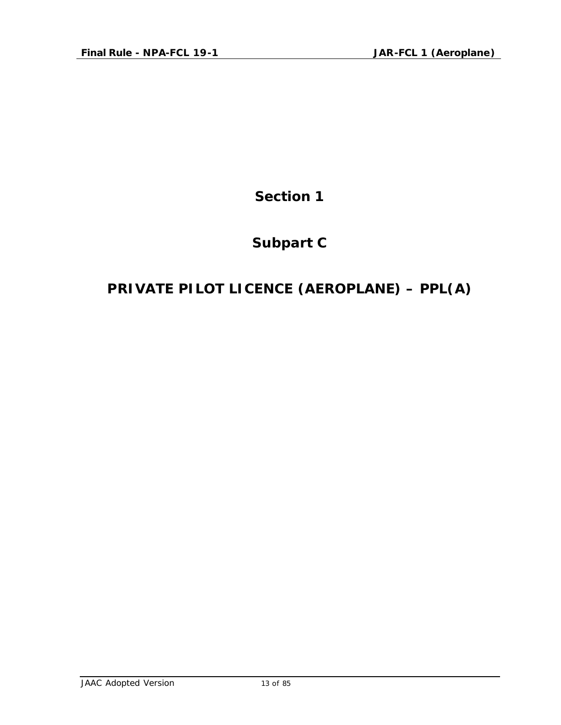**Section 1**

# **Subpart C**

# **PRIVATE PILOT LICENCE (AEROPLANE) – PPL(A)**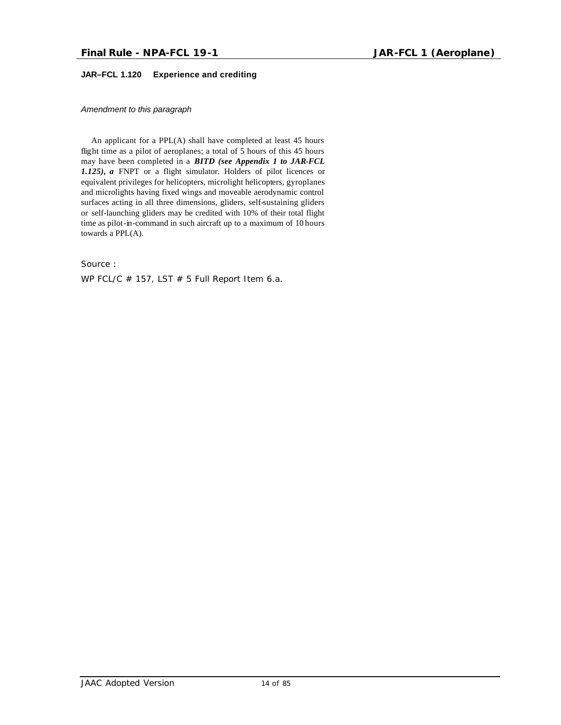#### **JAR–FCL 1.120 Experience and crediting**

*Amendment to this paragraph*

An applicant for a PPL(A) shall have completed at least 45 hours flight time as a pilot of aeroplanes; a total of 5 hours of this 45 hours may have been completed in a *BITD (see Appendix 1 to JAR-FCL 1.125), a* FNPT or a flight simulator. Holders of pilot licences or equivalent privileges for helicopters, microlight helicopters, gyroplanes and microlights having fixed wings and moveable aerodynamic control surfaces acting in all three dimensions, gliders, self-sustaining gliders or self-launching gliders may be credited with 10% of their total flight time as pilot-in-command in such aircraft up to a maximum of 10 hours towards a PPL(A).

Source :

WP FCL/C  $#$  157, LST  $#$  5 Full Report Item 6.a.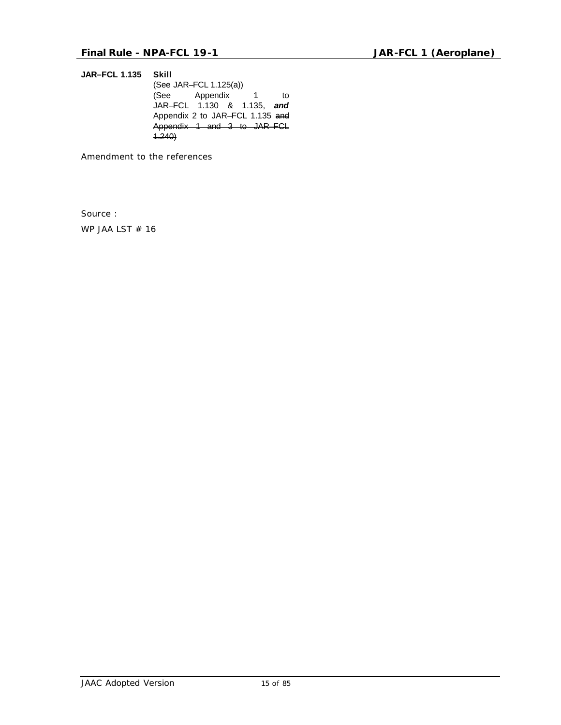**JAR–FCL 1.135 Skill** (See JAR–FCL 1.125(a)) (See Appendix 1 to JAR–FCL 1.130 & 1.135, *and* Appendix 2 to JAR–FCL 1.135 and Appendix 1 and 3 to JAR–FCL 1.240)

*Amendment to the references*

Source :

WP JAA LST # 16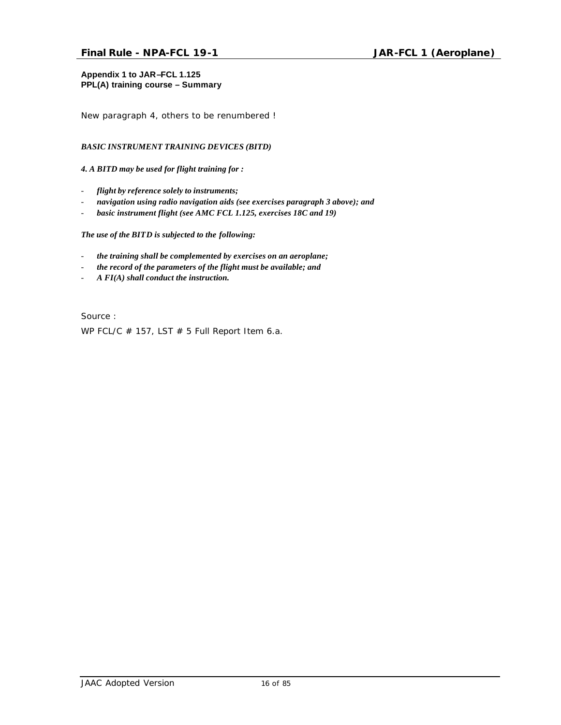#### **Appendix 1 to JAR–FCL 1.125 PPL(A) training course – Summary**

*New paragraph 4, others to be renumbered !*

#### *BASIC INSTRUMENT TRAINING DEVICES (BITD)*

#### *4. A BITD may be used for flight training for :*

- *flight by reference solely to instruments;*
- *navigation using radio navigation aids (see exercises paragraph 3 above); and*
- basic instrument flight (see AMC FCL 1.125, exercises 18C and 19)

#### *The use of the BITD is subjected to the following:*

- *the training shall be complemented by exercises on an aeroplane;*
- *the record of the parameters of the flight must be available; and*
- *A FI(A) shall conduct the instruction.*

Source : WP FCL/C  $#$  157, LST  $#$  5 Full Report Item 6.a.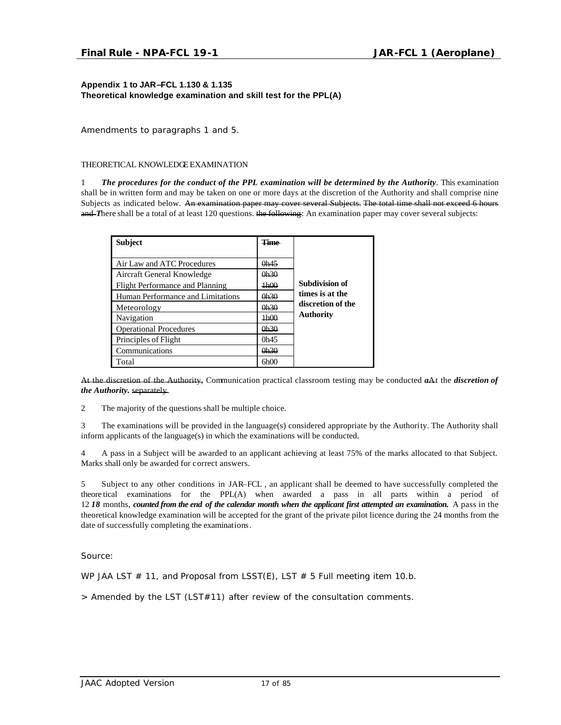#### **Appendix 1 to JAR–FCL 1.130 & 1.135 Theoretical knowledge examination and skill test for the PPL(A)**

*Amendments to paragraphs 1 and 5.*

#### THEORETICAL KNOWLEDGE EXAMINATION

1 *The procedures for the conduct of the PPL examination will be determined by the Authority*. This examination shall be in written form and may be taken on one or more days at the discretion of the Authority and shall comprise nine Subjects as indicated below. An examination paper may cover several Subjects. The total time shall not exceed 6 hours and *There shall be a total of at least 120 questions*. the following: An examination paper may cover several subjects:

| <b>Subject</b>                    | <b>Cime</b> |                       |
|-----------------------------------|-------------|-----------------------|
|                                   |             |                       |
| Air Law and ATC Procedures        | 0h45        |                       |
| Aircraft General Knowledge        | 0h30        |                       |
| Flight Performance and Planning   | 1h00        | <b>Subdivision of</b> |
| Human Performance and Limitations | 0h30        | times is at the       |
| Meteorology                       | 0h30        | discretion of the     |
| Navigation                        | 1h00        | <b>Authority</b>      |
| <b>Operational Procedures</b>     | 0b30        |                       |
| Principles of Flight              | 0h45        |                       |
| Communications                    | 0h30        |                       |
| Total                             | 6h00        |                       |

At the discretion of the Authority, Communication practical classroom testing may be conducted *a*At the *discretion of the Authority.* separately.

2 The majority of the questions shall be multiple choice.

3 The examinations will be provided in the language(s) considered appropriate by the Authority. The Authority shall inform applicants of the language(s) in which the examinations will be conducted.

4 A pass in a Subject will be awarded to an applicant achieving at least 75% of the marks allocated to that Subject. Marks shall only be awarded for correct answers.

5 Subject to any other conditions in JAR–FCL , an applicant shall be deemed to have successfully completed the theore tical examinations for the PPL(A) when awarded a pass in all parts within a period of 12 *18* months, *counted from the end of the calendar month when the applicant first attempted an examination.* A pass in the theoretical knowledge examination will be accepted for the grant of the private pilot licence during the 24 months from the date of successfully completing the examinations.

Source:

WP JAA LST  $# 11$ , and Proposal from LSST(E), LST  $# 5$  Full meeting item 10.b.

*> Amended by the LST (LST#11) after review of the consultation comments.*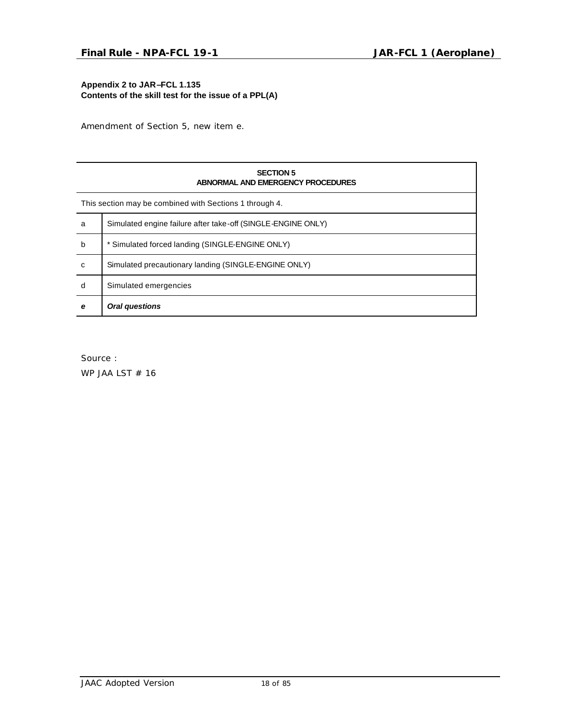#### **Appendix 2 to JAR–FCL 1.135 Contents of the skill test for the issue of a PPL(A)**

*Amendment of Section 5, new item e.*

| <b>SECTION 5</b><br>ABNORMAL AND EMERGENCY PROCEDURES   |                                                              |  |  |
|---------------------------------------------------------|--------------------------------------------------------------|--|--|
| This section may be combined with Sections 1 through 4. |                                                              |  |  |
| a                                                       | Simulated engine failure after take-off (SINGLE-ENGINE ONLY) |  |  |
| b                                                       | * Simulated forced landing (SINGLE-ENGINE ONLY)              |  |  |
| C                                                       | Simulated precautionary landing (SINGLE-ENGINE ONLY)         |  |  |
| d                                                       | Simulated emergencies                                        |  |  |
| e                                                       | Oral questions                                               |  |  |

Source :

WP JAA LST # 16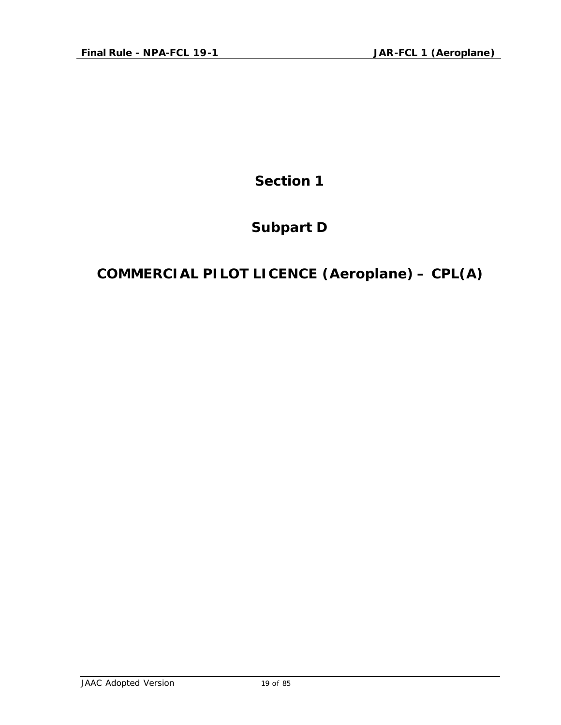**Section 1**

# **Subpart D**

# **COMMERCIAL PILOT LICENCE (Aeroplane) – CPL(A)**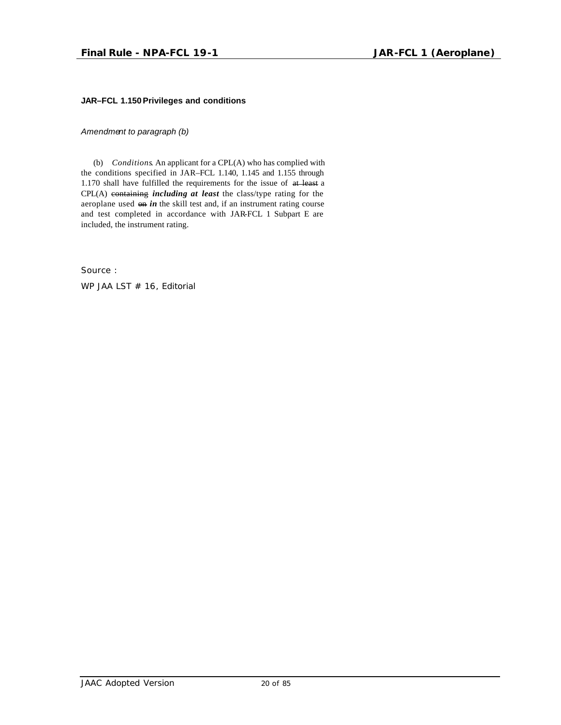#### **JAR–FCL 1.150Privileges and conditions**

*Amendment to paragraph (b)*

(b) *Conditions*. An applicant for a CPL(A) who has complied with the conditions specified in JAR–FCL 1.140, 1.145 and 1.155 through 1.170 shall have fulfilled the requirements for the issue of at least a CPL(A) containing *including at least* the class/type rating for the aeroplane used on *in* the skill test and, if an instrument rating course and test completed in accordance with JAR-FCL 1 Subpart E are included, the instrument rating.

Source :

WP JAA LST # 16, Editorial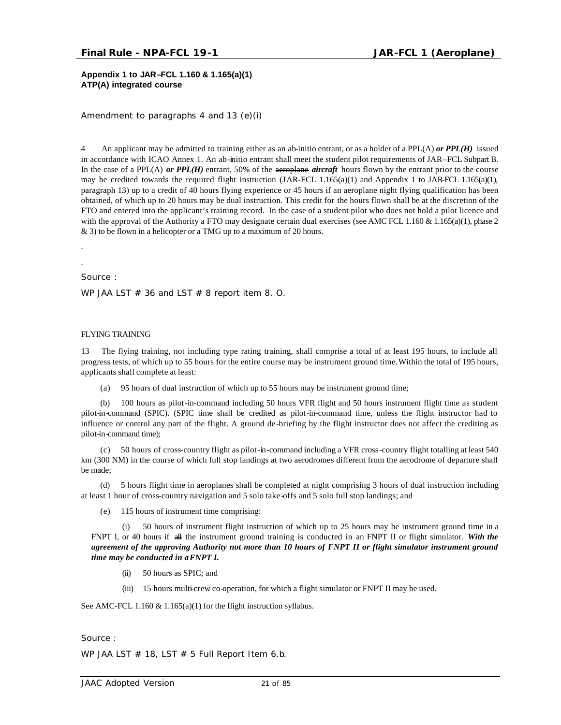**Appendix 1 to JAR–FCL 1.160 & 1.165(a)(1) ATP(A) integrated course**

*Amendment to paragraphs 4 and 13 (e)(i)*

4 An applicant may be admitted to training either as an ab-initio entrant, or as a holder of a PPL(A) *or PPL(H)* issued in accordance with ICAO Annex 1. An ab-initio entrant shall meet the student pilot requirements of JAR–FCL Subpart B. In the case of a PPL(A) *or PPL(H)* entrant, 50% of the aeroplane *aircraft* hours flown by the entrant prior to the course may be credited towards the required flight instruction (JAR-FCL 1.165(a)(1) and Appendix 1 to JAR-FCL 1.165(a)(1), paragraph 13) up to a credit of 40 hours flying experience or 45 hours if an aeroplane night flying qualification has been obtained, of which up to 20 hours may be dual instruction. This credit for the hours flown shall be at the discretion of the FTO and entered into the applicant's training record. In the case of a student pilot who does not hold a pilot licence and with the approval of the Authority a FTO may designate certain dual exercises (see AMC FCL 1.160  $\&$  1.165(a)(1), phase 2 & 3) to be flown in a helicopter or a TMG up to a maximum of 20 hours.

Source :

. .

WP JAA LST  $# 36$  and LST  $# 8$  report item 8. O.

#### FLYING TRAINING

13 The flying training, not including type rating training, shall comprise a total of at least 195 hours, to include all progress tests, of which up to 55 hours for the entire course may be instrument ground time.Within the total of 195 hours, applicants shall complete at least:

(a) 95 hours of dual instruction of which up to 55 hours may be instrument ground time;

(b) 100 hours as pilot-in-command including 50 hours VFR flight and 50 hours instrument flight time as student pilot-in-command (SPIC). (SPIC time shall be credited as pilot-in-command time, unless the flight instructor had to influence or control any part of the flight. A ground de-briefing by the flight instructor does not affect the crediting as pilot-in-command time);

(c) 50 hours of cross-country flight as pilot-in-command including a VFR cross-country flight totalling at least 540 km (300 NM) in the course of which full stop landings at two aerodromes different from the aerodrome of departure shall be made;

(d) 5 hours flight time in aeroplanes shall be completed at night comprising 3 hours of dual instruction including at least 1 hour of cross-country navigation and 5 solo take-offs and 5 solo full stop landings; and

(e) 115 hours of instrument time comprising:

(i) 50 hours of instrument flight instruction of which up to 25 hours may be instrument ground time in a FNPT I, or 40 hours if all the instrument ground training is conducted in an FNPT II or flight simulator. *With the agreement of the approving Authority not more than 10 hours of FNPT II or flight simulator instrument ground time may be conducted in a FNPT I.*

- (ii) 50 hours as SPIC; and
- (iii) 15 hours multi-crew co-operation, for which a flight simulator or FNPT II may be used.

See AMC-FCL 1.160  $& 1.165(a)(1)$  for the flight instruction syllabus.

Source :

WP JAA LST  $#$  18, LST  $#$  5 Full Report Item 6.b.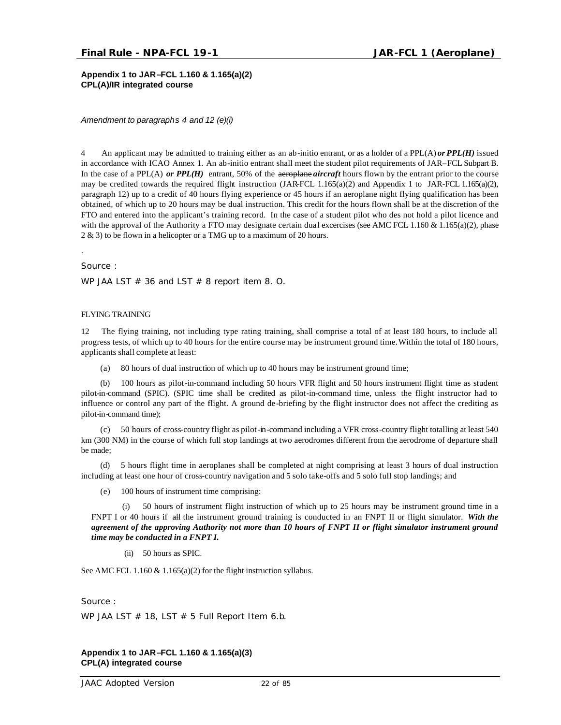**Appendix 1 to JAR–FCL 1.160 & 1.165(a)(2) CPL(A)/IR integrated course**

*Amendment to paragraphs 4 and 12 (e)(i)*

4 An applicant may be admitted to training either as an ab-initio entrant, or as a holder of a PPL(A) *or PPL(H)* issued in accordance with ICAO Annex 1. An ab-initio entrant shall meet the student pilot requirements of JAR–FCL Subpart B. In the case of a PPL(A) *or PPL(H)* entrant, 50% of the **aeroplane** *aircraft* hours flown by the entrant prior to the course may be credited towards the required flight instruction  $(JAR\text{-}FCL\ 1.165(a)(2))$  and Appendix 1 to JAR-FCL 1.165(a)(2), paragraph 12) up to a credit of 40 hours flying experience or 45 hours if an aeroplane night flying qualification has been obtained, of which up to 20 hours may be dual instruction. This credit for the hours flown shall be at the discretion of the FTO and entered into the applicant's training record. In the case of a student pilot who des not hold a pilot licence and with the approval of the Authority a FTO may designate certain dual excercises (see AMC FCL 1.160  $\&$  1.165(a)(2), phase 2 & 3) to be flown in a helicopter or a TMG up to a maximum of 20 hours.

.

Source :

WP JAA LST  $# 36$  and LST  $# 8$  report item 8. O.

#### FLYING TRAINING

12 The flying training, not including type rating training, shall comprise a total of at least 180 hours, to include all progress tests, of which up to 40 hours for the entire course may be instrument ground time.Within the total of 180 hours, applicants shall complete at least:

(a) 80 hours of dual instruction of which up to 40 hours may be instrument ground time;

(b) 100 hours as pilot-in-command including 50 hours VFR flight and 50 hours instrument flight time as student pilot-in-command (SPIC). (SPIC time shall be credited as pilot-in-command time, unless the flight instructor had to influence or control any part of the flight. A ground de-briefing by the flight instructor does not affect the crediting as pilot-in-command time);

(c) 50 hours of cross-country flight as pilot-in-command including a VFR cross-country flight totalling at least 540 km (300 NM) in the course of which full stop landings at two aerodromes different from the aerodrome of departure shall be made;

(d) 5 hours flight time in aeroplanes shall be completed at night comprising at least 3 hours of dual instruction including at least one hour of cross-country navigation and 5 solo take-offs and 5 solo full stop landings; and

(e) 100 hours of instrument time comprising:

(i) 50 hours of instrument flight instruction of which up to 25 hours may be instrument ground time in a FNPT I or 40 hours if all the instrument ground training is conducted in an FNPT II or flight simulator. *With the agreement of the approving Authority not more than 10 hours of FNPT II or flight simulator instrument ground time may be conducted in a FNPT I.*

(ii) 50 hours as SPIC.

See AMC FCL 1.160  $\&$  1.165(a)(2) for the flight instruction syllabus.

Source :

WP JAA LST  $#$  18, LST  $#$  5 Full Report Item 6.b.

#### **Appendix 1 to JAR–FCL 1.160 & 1.165(a)(3) CPL(A) integrated course**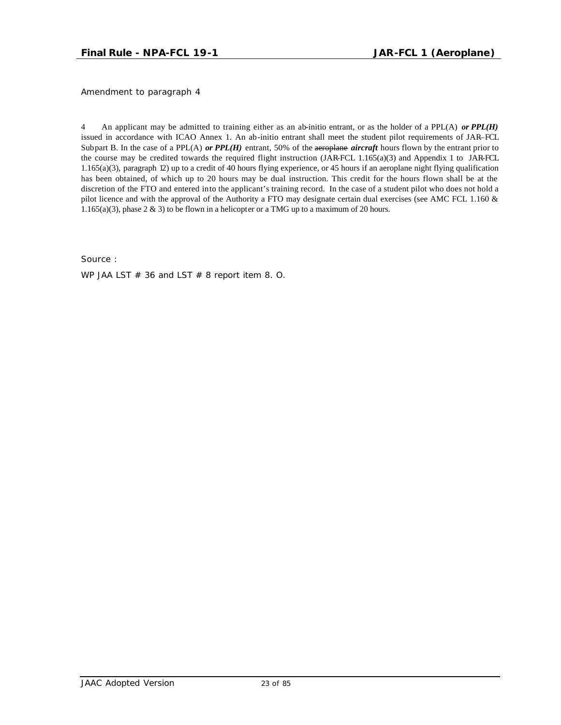*Amendment to paragraph 4*

4 An applicant may be admitted to training either as an ab-initio entrant, or as the holder of a PPL(A) *or PPL(H)*  issued in accordance with ICAO Annex 1. An ab-initio entrant shall meet the student pilot requirements of JAR–FCL Subpart B. In the case of a PPL(A) *or PPL(H)* entrant, 50% of the aeroplane *aircraft* hours flown by the entrant prior to the course may be credited towards the required flight instruction (JAR-FCL 1.165(a)(3) and Appendix 1 to JAR-FCL 1.165(a)(3), paragraph 12) up to a credit of 40 hours flying experience, or 45 hours if an aeroplane night flying qualification has been obtained, of which up to 20 hours may be dual instruction. This credit for the hours flown shall be at the discretion of the FTO and entered into the applicant's training record. In the case of a student pilot who does not hold a pilot licence and with the approval of the Authority a FTO may designate certain dual exercises (see AMC FCL 1.160 & 1.165(a)(3), phase  $2 \& 3$ ) to be flown in a helicopter or a TMG up to a maximum of 20 hours.

Source :

WP JAA LST  $# 36$  and LST  $# 8$  report item 8. O.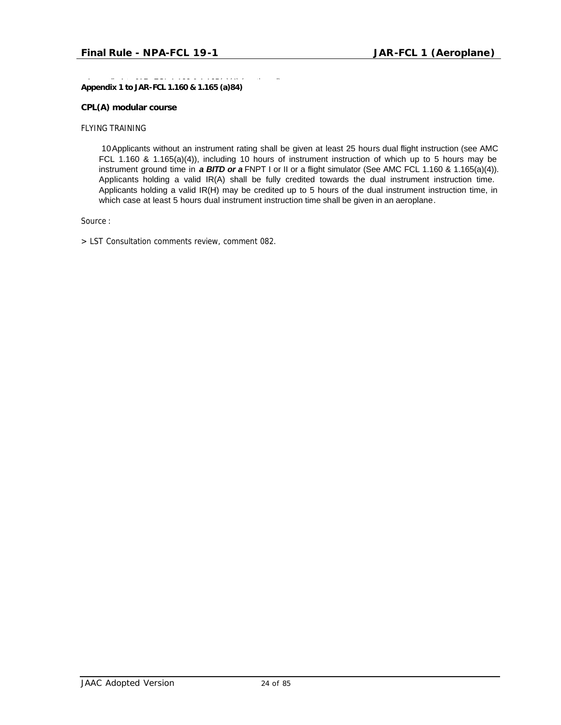**Appendix 1 to JAR-FCL 1.160 & 1.165 (a)84)** 

#### **CPL(A) modular course**

FLYING TRAINING

10Applicants without an instrument rating shall be given at least 25 hours dual flight instruction (see AMC FCL 1.160 & 1.165(a)(4)), including 10 hours of instrument instruction of which up to 5 hours may be instrument ground time in *a BITD or a* FNPT I or II or a flight simulator (See AMC FCL 1.160 & 1.165(a)(4)). Applicants holding a valid IR(A) shall be fully credited towards the dual instrument instruction time. Applicants holding a valid IR(H) may be credited up to 5 hours of the dual instrument instruction time, in which case at least 5 hours dual instrument instruction time shall be given in an aeroplane.

Source :

*> LST Consultation comments review, comment 082.*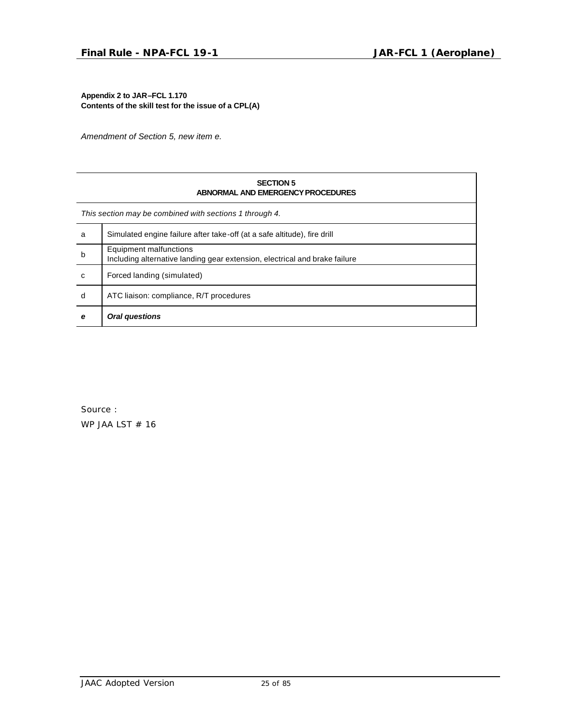**Appendix 2 to JAR–FCL 1.170 Contents of the skill test for the issue of a CPL(A)**

*Amendment of Section 5, new item e.*

| <b>SECTION 5</b><br>ABNORMAL AND EMERGENCY PROCEDURES   |                                                                                                      |  |  |
|---------------------------------------------------------|------------------------------------------------------------------------------------------------------|--|--|
| This section may be combined with sections 1 through 4. |                                                                                                      |  |  |
| a                                                       | Simulated engine failure after take-off (at a safe altitude), fire drill                             |  |  |
| $\mathsf b$                                             | Equipment malfunctions<br>Including alternative landing gear extension, electrical and brake failure |  |  |
| C                                                       | Forced landing (simulated)                                                                           |  |  |
| d                                                       | ATC liaison: compliance, R/T procedures                                                              |  |  |
| e                                                       | Oral questions                                                                                       |  |  |

Source : WP JAA LST  $# 16$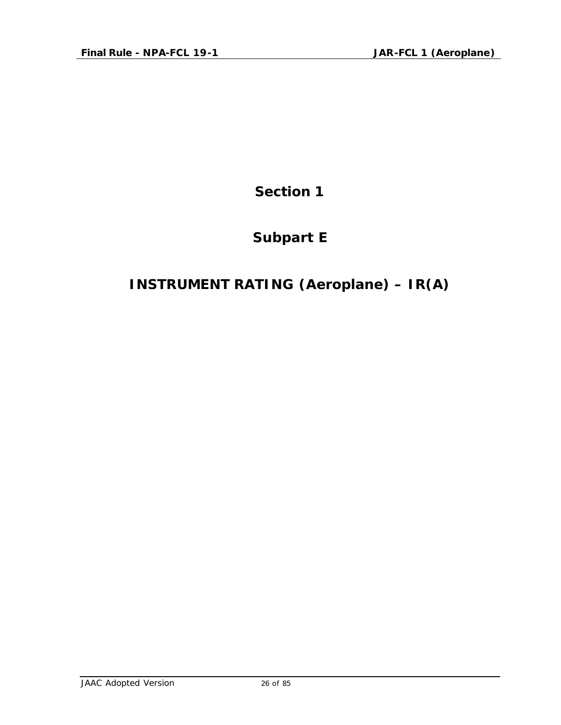**Section 1**

# **Subpart E**

# **INSTRUMENT RATING (Aeroplane) – IR(A)**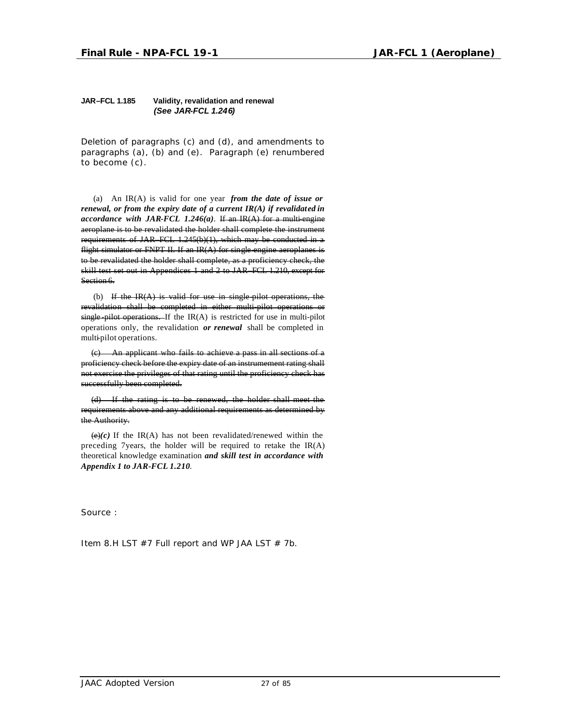#### **JAR–FCL 1.185 Validity, revalidation and renewal** *(See JAR-FCL 1.246)*

*Deletion of paragraphs (c) and (d), and amendments to paragraphs (a), (b) and (e). Paragraph (e) renumbered to become (c).*

(a) An IR(A) is valid for one year *from the date of issue or renewal, or from the expiry date of a current IR(A) if revalidated in accordance with JAR-FCL 1.246(a)*. If an IR(A) for a multi-engine aeroplane is to be revalidated the holder shall complete the instrument requirements of JAR–FCL 1.245(b)(1), which may be conducted in a flight simulator or FNPT II. If an  $IR(A)$  for single engine aeroplanes is to be revalidated the holder shall complete, as a proficiency check, the skill test set out in Appendices 1 and 2 to JAR–FCL 1.210, except for Section 6.

(b) If the  $IR(A)$  is valid for use in single-pilot operations, the revalidation shall be completed in either multi-pilot operations or single-pilot operations. If the IR(A) is restricted for use in multi-pilot operations only, the revalidation *or renewal* shall be completed in multi-pilot operations.

(c) An applicant who fails to achieve a pass in all sections of a proficiency check before the expiry date of an instrumement rating shall not exercise the privileges of that rating until the proficiency check has successfully been completed.

(d) If the rating is to be renewed, the holder shall meet the requirements above and any additional requirements as determined by the Authority.

 $\left(\frac{e}{e}\right)(c)$  If the IR(A) has not been revalidated/renewed within the preceding 7years, the holder will be required to retake the  $IR(A)$ theoretical knowledge examination *and skill test in accordance with Appendix 1 to JAR-FCL 1.210*.

Source :

Item 8.H LST  $#7$  Full report and WP JAA LST  $# 7b$ .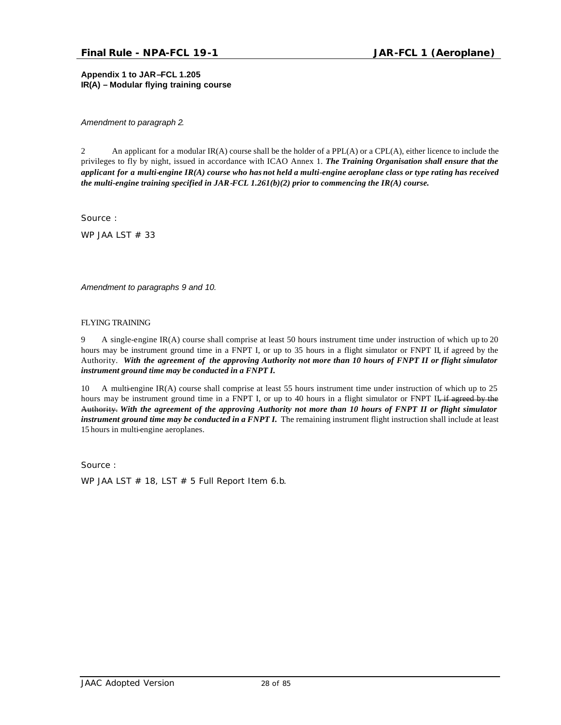**Appendix 1 to JAR–FCL 1.205 IR(A) – Modular flying training course**

*Amendment to paragraph 2.*

2 An applicant for a modular IR(A) course shall be the holder of a PPL(A) or a CPL(A), either licence to include the privileges to fly by night, issued in accordance with ICAO Annex 1. *The Training Organisation shall ensure that the applicant for a multi-engine IR(A) course who has not held a multi-engine aeroplane class or type rating has received the multi-engine training specified in JAR-FCL 1.261(b)(2) prior to commencing the IR(A) course.*

Source :

WP JAA LST  $# 33$ 

*Amendment to paragraphs 9 and 10.*

#### FLYING TRAINING

9 A single-engine IR(A) course shall comprise at least 50 hours instrument time under instruction of which up to 20 hours may be instrument ground time in a FNPT I, or up to 35 hours in a flight simulator or FNPT II, if agreed by the Authority. *With the agreement of the approving Authority not more than 10 hours of FNPT II or flight simulator instrument ground time may be conducted in a FNPT I.*

10 A multi-engine IR(A) course shall comprise at least 55 hours instrument time under instruction of which up to 25 hours may be instrument ground time in a FNPT I, or up to 40 hours in a flight simulator or FNPT II, if agreed by the Authority. *With the agreement of the approving Authority not more than 10 hours of FNPT II or flight simulator instrument ground time may be conducted in a FNPT I.* The remaining instrument flight instruction shall include at least 15 hours in multi-engine aeroplanes.

Source :

WP JAA LST  $#$  18, LST  $#$  5 Full Report Item 6.b.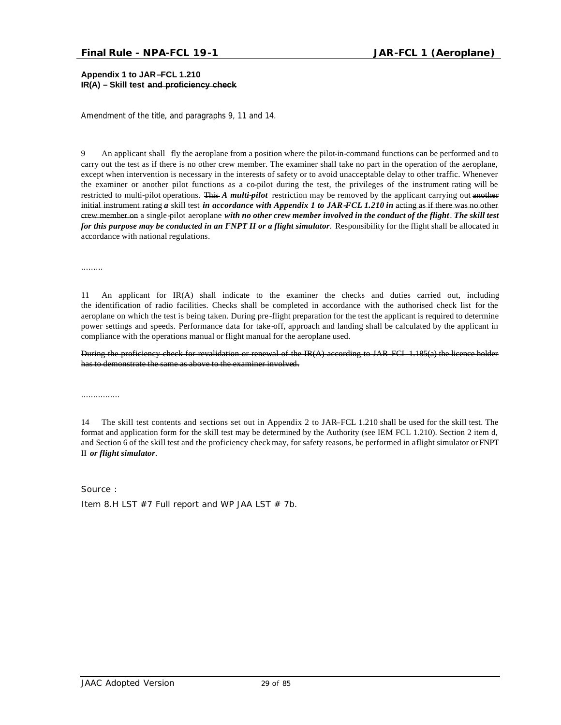**Appendix 1 to JAR–FCL 1.210 IR(A) – Skill test and proficiency check**

*Amendment of the title, and paragraphs 9, 11 and 14.*

9 An applicant shall fly the aeroplane from a position where the pilot-in-command functions can be performed and to carry out the test as if there is no other crew member. The examiner shall take no part in the operation of the aeroplane, except when intervention is necessary in the interests of safety or to avoid unacceptable delay to other traffic. Whenever the examiner or another pilot functions as a co-pilot during the test, the privileges of the instrument rating will be restricted to multi-pilot operations. This *A multi-pilot* restriction may be removed by the applicant carrying out another initial instrument rating *a* skill test *in accordance with Appendix 1 to JAR-FCL 1.210 in* acting as if there was no other crew member on a single-pilot aeroplane *with no other crew member involved in the conduct of the flight*. *The skill test for this purpose may be conducted in an FNPT II or a flight simulator*. Responsibility for the flight shall be allocated in accordance with national regulations.

………

11 An applicant for IR(A) shall indicate to the examiner the checks and duties carried out, including the identification of radio facilities. Checks shall be completed in accordance with the authorised check list for the aeroplane on which the test is being taken. During pre-flight preparation for the test the applicant is required to determine power settings and speeds. Performance data for take-off, approach and landing shall be calculated by the applicant in compliance with the operations manual or flight manual for the aeroplane used.

During the proficiency check for revalidation or renewal of the IR(A) according to JAR–FCL 1.185(a) the licence holder has to demonstrate the same as above to the examiner involved.

………………

14 The skill test contents and sections set out in Appendix 2 to JAR–FCL 1.210 shall be used for the skill test. The format and application form for the skill test may be determined by the Authority (see IEM FCL 1.210). Section 2 item d, and Section 6 of the skill test and the proficiency check may, for safety reasons, be performed in a flight simulator or FNPT II *or flight simulator*.

Source : Item 8.H LST  $#7$  Full report and WP JAA LST  $# 7b$ .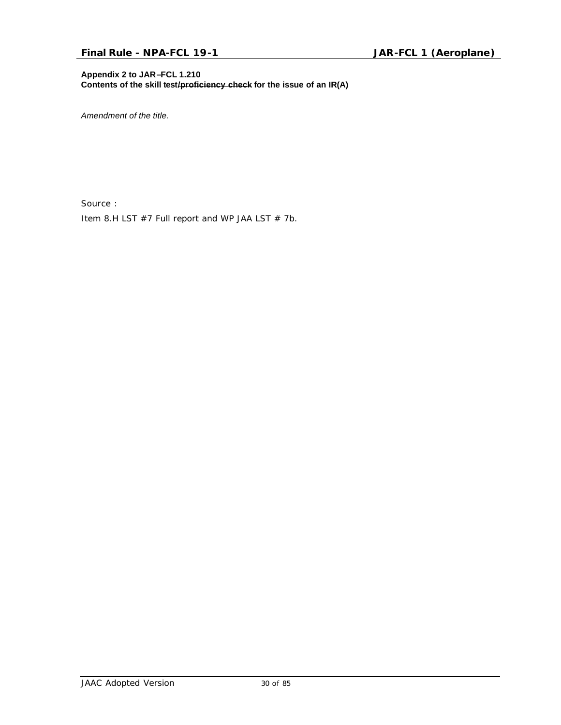#### **Appendix 2 to JAR–FCL 1.210**

**Contents of the skill test/proficiency check for the issue of an IR(A)**

*Amendment of the title.*

Source :

Item 8.H LST  $#7$  Full report and WP JAA LST  $# 7b$ .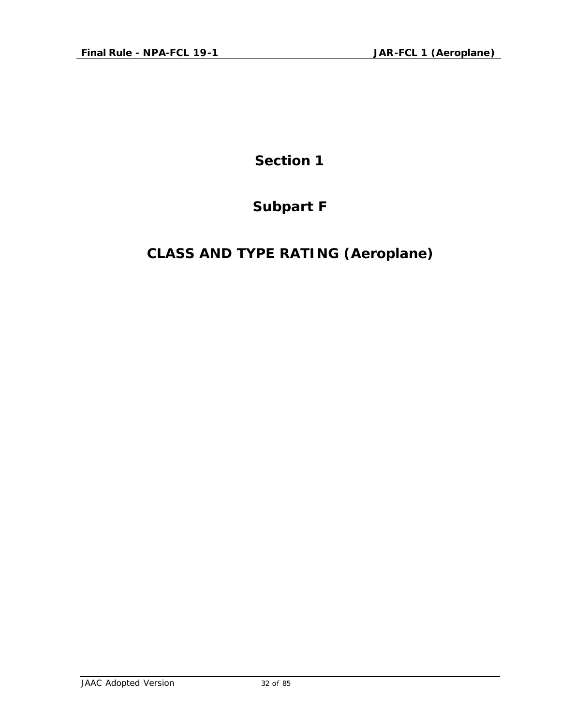**Section 1**

# **Subpart F**

# **CLASS AND TYPE RATING (Aeroplane)**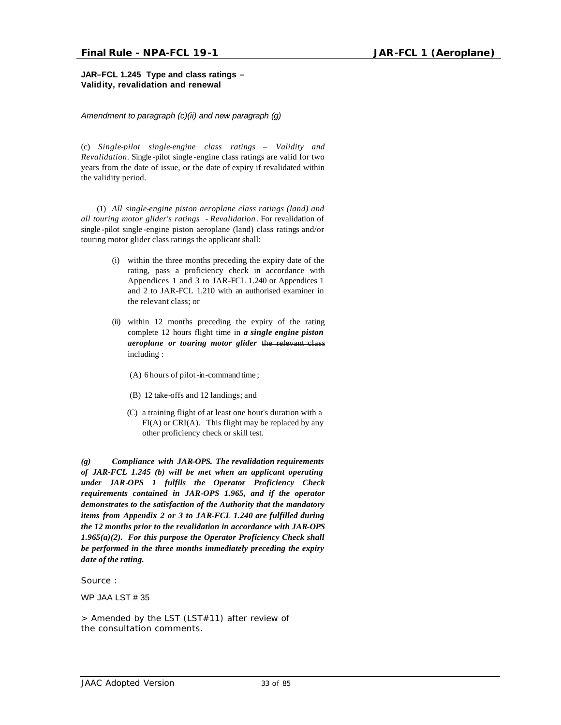#### **JAR–FCL 1.245 Type and class ratings – Validity, revalidation and renewal**

#### *Amendment to paragraph (c)(ii) and new paragraph (g)*

(c) *Single-pilot single-engine class ratings – Validity and Revalidation*. Single -pilot single -engine class ratings are valid for two years from the date of issue, or the date of expiry if revalidated within the validity period.

(1) *All single-engine piston aeroplane class ratings (land) and all touring motor glider's ratings - Revalidation*. For revalidation of single -pilot single -engine piston aeroplane (land) class ratings and/or touring motor glider class ratings the applicant shall:

- (i) within the three months preceding the expiry date of the rating, pass a proficiency check in accordance with Appendices 1 and 3 to JAR-FCL 1.240 or Appendices 1 and 2 to JAR-FCL 1.210 with an authorised examiner in the relevant class; or
- (ii) within 12 months preceding the expiry of the rating complete 12 hours flight time in *a single engine piston aeroplane or touring motor glider* the relevant class including :
	- (A) 6 hours of pilot-in-command time ;
	- (B) 12 take-offs and 12 landings; and
	- (C) a training flight of at least one hour's duration with a FI(A) or CRI(A). This flight may be replaced by any other proficiency check or skill test.

*(g) Compliance with JAR-OPS. The revalidation requirements of JAR-FCL 1.245 (b) will be met when an applicant operating under JAR-OPS 1 fulfils the Operator Proficiency Check requirements contained in JAR-OPS 1.965, and if the operator demonstrates to the satisfaction of the Authority that the mandatory items from Appendix 2 or 3 to JAR-FCL 1.240 are fulfilled during the 12 months prior to the revalidation in accordance with JAR-OPS 1.965(a)(2). For this purpose the Operator Proficiency Check shall be performed in the three months immediately preceding the expiry date of the rating.*

Source :

WP JAA LST # 35

*> Amended by the LST (LST#11) after review of the consultation comments.*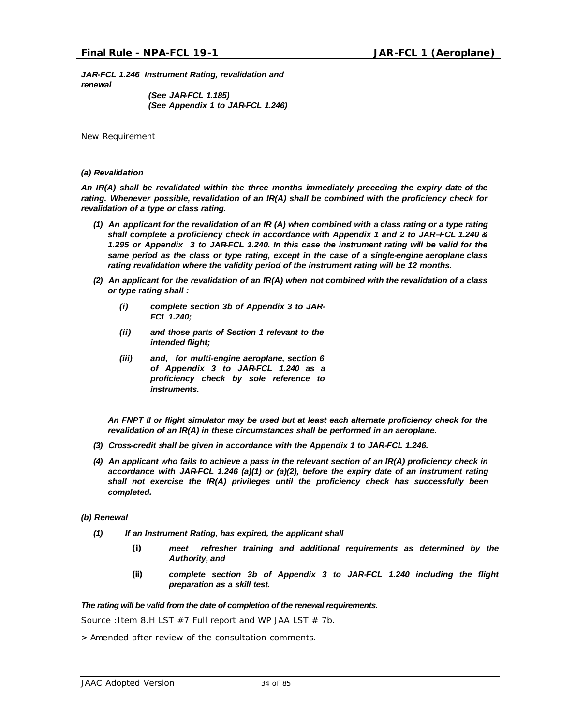*JAR-FCL 1.246 Instrument Rating, revalidation and renewal*

*(See JAR-FCL 1.185) (See Appendix 1 to JAR-FCL 1.246)*

*New Requirement*

#### *(a) Revalidation*

*An IR(A) shall be revalidated within the three months immediately preceding the expiry date of the rating. Whenever possible, revalidation of an IR(A) shall be combined with the proficiency check for revalidation of a type or class rating.* 

- *(1) An applicant for the revalidation of an IR (A) when combined with a class rating or a type rating shall complete a proficiency check in accordance with Appendix 1 and 2 to JAR–FCL 1.240 & 1.295 or Appendix 3 to JAR-FCL 1.240. In this case the instrument rating will be valid for the same period as the class or type rating, except in the case of a single-engine aeroplane class rating revalidation where the validity period of the instrument rating will be 12 months.*
- *(2) An applicant for the revalidation of an IR(A) when not combined with the revalidation of a class or type rating shall :*
	- *(i) complete section 3b of Appendix 3 to JAR-FCL 1.240;*
	- *(ii) and those parts of Section 1 relevant to the intended flight;*
	- *(iii) and, for multi-engine aeroplane, section 6 of Appendix 3 to JAR-FCL 1.240 as a proficiency check by sole reference to instruments.*

*An FNPT II or flight simulator may be used but at least each alternate proficiency check for the revalidation of an IR(A) in these circumstances shall be performed in an aeroplane.*

- *(3) Cross-credit shall be given in accordance with the Appendix 1 to JAR-FCL 1.246.*
- *(4) An applicant who fails to achieve a pass in the relevant section of an IR(A) proficiency check in accordance with JAR-FCL 1.246 (a)(1) or (a)(2), before the expiry date of an instrument rating shall not exercise the IR(A) privileges until the proficiency check has successfully been completed.*

#### *(b) Renewal*

- *(1) If an Instrument Rating, has expired, the applicant shall* 
	- *(i) meet refresher training and additional requirements as determined by the Authority, and*
	- *(ii) complete section 3b of Appendix 3 to JAR-FCL 1.240 including the flight preparation as a skill test.*

#### *The rating will be valid from the date of completion of the renewal requirements.*

Source : Item 8.H LST  $#7$  Full report and WP JAA LST  $# 7b$ .

> Amended after review of the consultation comments.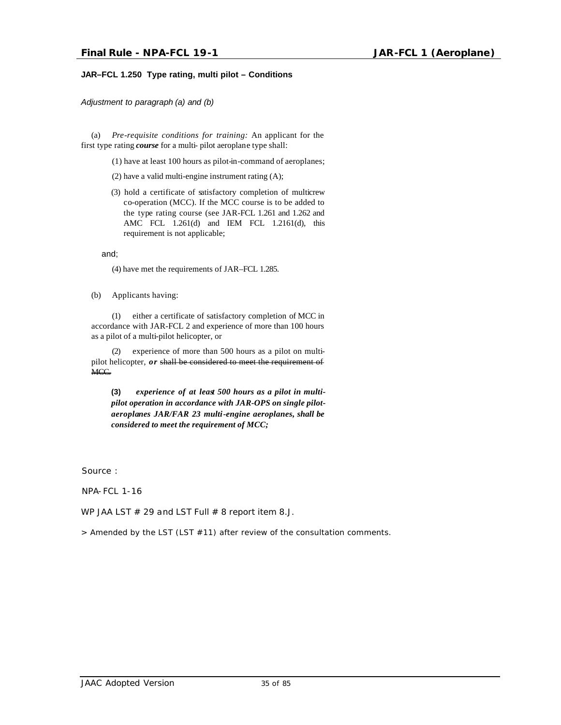#### **JAR–FCL 1.250 Type rating, multi pilot – Conditions**

*Adjustment to paragraph (a) and (b)*

(a) *Pre-requisite conditions for training:* An applicant for the first type rating *course* for a multi- pilot aeroplane type shall:

(1) have at least 100 hours as pilot-in-command of aeroplanes;

(2) have a valid multi-engine instrument rating (A);

(3) hold a certificate of satisfactory completion of multicrew co-operation (MCC). If the MCC course is to be added to the type rating course (see JAR-FCL 1.261 and 1.262 and AMC FCL 1.261(d) and IEM FCL 1.2161(d), this requirement is not applicable;

and;

(4) have met the requirements of JAR–FCL 1.285.

(b) Applicants having:

(1) either a certificate of satisfactory completion of MCC in accordance with JAR-FCL 2 and experience of more than 100 hours as a pilot of a multi-pilot helicopter, or

(2) experience of more than 500 hours as a pilot on multipilot helicopter, *or* shall be considered to meet the requirement of MCC.

**(3)** *experience of at least 500 hours as a pilot in multipilot operation in accordance with JAR-OPS on single pilotaeroplanes JAR/FAR 23 multi-engine aeroplanes, shall be considered to meet the requirement of MCC;*

Source :

NPA-FCL 1-16

WP JAA LST  $# 29$  and LST Full  $# 8$  report item 8.J.

> Amended by the LST (LST #11) after review of the consultation comments.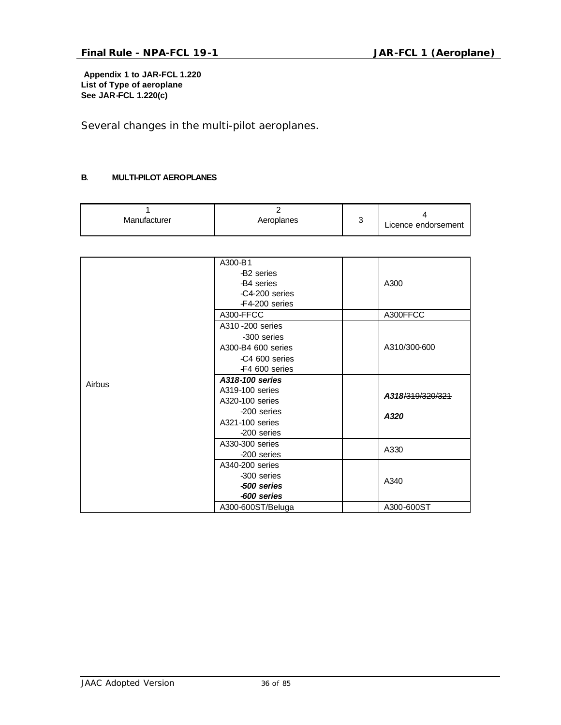**Appendix 1 to JAR-FCL 1.220 List of Type of aeroplane See JAR-FCL 1.220(c)**

*Several changes in the multi-pilot aeroplanes.*

#### **B**. **MULTI-PILOT AEROPLANES**

| Manufacturer | Aeroplanes | ╭<br>ັ | Licence endorsement |
|--------------|------------|--------|---------------------|
|--------------|------------|--------|---------------------|

|        | A300-B1                                           |                  |  |
|--------|---------------------------------------------------|------------------|--|
|        | -B <sub>2</sub> series                            |                  |  |
|        | -B4 series                                        | A300             |  |
|        | -C4-200 series                                    |                  |  |
|        | -F4-200 series                                    |                  |  |
|        | A300-FFCC                                         | A300FFCC         |  |
|        | A310 - 200 series                                 |                  |  |
|        | -300 series                                       |                  |  |
|        | A300-B4 600 series                                | A310/300-600     |  |
|        | -C4 600 series                                    |                  |  |
|        | -F4 600 series                                    |                  |  |
| Airbus | A318-100 series                                   |                  |  |
|        | A319-100 series                                   |                  |  |
|        | A320-100 series<br>-200 series<br>A321-100 series | A318/319/320/321 |  |
|        |                                                   | A320             |  |
|        |                                                   |                  |  |
|        | -200 series                                       |                  |  |
|        | A330-300 series                                   |                  |  |
|        | -200 series                                       | A330             |  |
|        | A340-200 series                                   |                  |  |
|        | -300 series                                       | A340             |  |
|        | -500 series                                       |                  |  |
|        | -600 series                                       |                  |  |
|        | A300-600ST/Beluga                                 | A300-600ST       |  |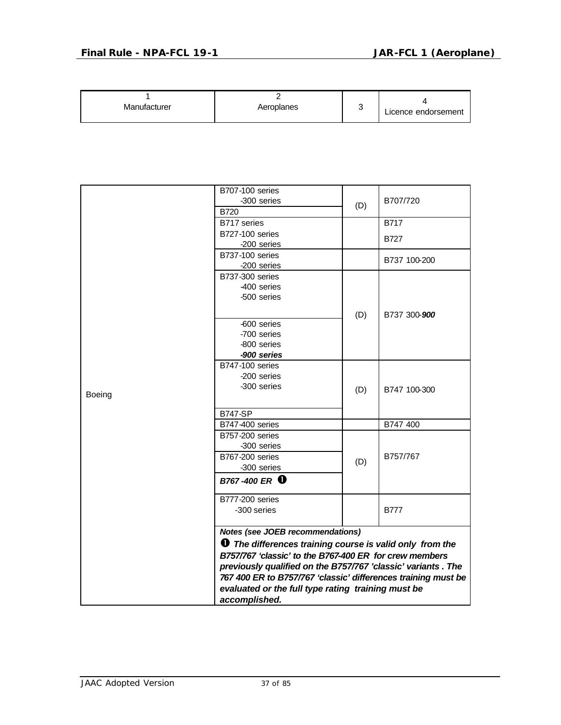| Manufacturer | Aeroplanes | ີ | Licence endorsement |
|--------------|------------|---|---------------------|
|--------------|------------|---|---------------------|

|        | <b>B707-100 series</b>                                        |     |              |  |
|--------|---------------------------------------------------------------|-----|--------------|--|
|        | -300 series                                                   | (D) | B707/720     |  |
|        | <b>B720</b>                                                   |     |              |  |
|        | B717 series                                                   |     | <b>B717</b>  |  |
|        | <b>B727-100 series</b>                                        |     | <b>B727</b>  |  |
|        | -200 series                                                   |     |              |  |
|        | <b>B737-100 series</b>                                        |     | B737 100-200 |  |
|        | -200 series                                                   |     |              |  |
|        | <b>B737-300 series</b>                                        |     |              |  |
|        | -400 series                                                   |     |              |  |
|        | -500 series                                                   |     |              |  |
|        |                                                               |     |              |  |
|        | -600 series                                                   | (D) | B737 300-900 |  |
|        | -700 series                                                   |     |              |  |
|        | -800 series                                                   |     |              |  |
|        | -900 series                                                   |     |              |  |
|        | <b>B747-100 series</b>                                        |     |              |  |
|        | -200 series                                                   |     |              |  |
|        | -300 series                                                   |     |              |  |
| Boeing |                                                               | (D) | B747 100-300 |  |
|        |                                                               |     |              |  |
|        | <b>B747-SP</b>                                                |     |              |  |
|        | B747-400 series                                               |     | B747 400     |  |
|        | B757-200 series                                               |     |              |  |
|        | -300 series                                                   |     |              |  |
|        | <b>B767-200 series</b>                                        | (D) | B757/767     |  |
|        | -300 series                                                   |     |              |  |
|        | B767-400 ER <sup>0</sup>                                      |     |              |  |
|        | <b>B777-200 series</b>                                        |     |              |  |
|        | -300 series                                                   |     | <b>B777</b>  |  |
|        | Notes (see JOEB recommendations)                              |     |              |  |
|        | <b>The differences training course is valid only from the</b> |     |              |  |
|        | B757/767 'classic' to the B767-400 ER for crew members        |     |              |  |
|        | previously qualified on the B757/767 'classic' variants. The  |     |              |  |
|        | 767 400 ER to B757/767 'classic' differences training must be |     |              |  |
|        | evaluated or the full type rating training must be            |     |              |  |
|        | accomplished.                                                 |     |              |  |
|        |                                                               |     |              |  |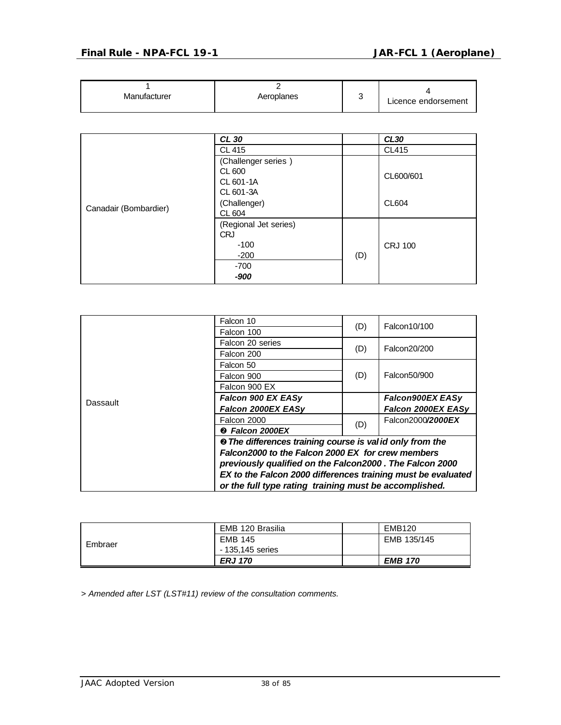| Manufacturer | Aeroplanes |  | Licence endorsement |
|--------------|------------|--|---------------------|
|--------------|------------|--|---------------------|

|                       | CL 30                                                                             |     | <b>CL30</b>               |
|-----------------------|-----------------------------------------------------------------------------------|-----|---------------------------|
|                       | CL 415                                                                            |     | CL415                     |
| Canadair (Bombardier) | (Challenger series)<br>CL 600<br>CL 601-1A<br>CL 601-3A<br>(Challenger)<br>CL 604 |     | CL600/601<br><b>CL604</b> |
|                       | (Regional Jet series)<br><b>CRJ</b><br>$-100$<br>$-200$<br>$-700$<br>-900         | (D) | <b>CRJ 100</b>            |

|          | Falcon 10                                                           | (D) | Falcon10/100       |  |  |
|----------|---------------------------------------------------------------------|-----|--------------------|--|--|
|          | Falcon 100                                                          |     |                    |  |  |
|          | Falcon 20 series                                                    | (D) | Falcon20/200       |  |  |
|          | Falcon 200                                                          |     |                    |  |  |
|          | Falcon 50                                                           |     | Falcon50/900       |  |  |
|          | Falcon 900                                                          | (D) |                    |  |  |
|          | Falcon 900 EX                                                       |     |                    |  |  |
| Dassault | Falcon 900 EX EASy                                                  |     | Falcon900EX EASy   |  |  |
|          | Falcon 2000EX EASy                                                  |     | Falcon 2000EX EASy |  |  |
|          | Falcon 2000                                                         |     | Falcon2000/2000EX  |  |  |
|          | <sup>2</sup> Falcon 2000EX                                          | (D) |                    |  |  |
|          | <sup>®</sup> The differences training course is valid only from the |     |                    |  |  |
|          | Falcon2000 to the Falcon 2000 EX for crew members                   |     |                    |  |  |
|          | previously qualified on the Falcon2000. The Falcon 2000             |     |                    |  |  |
|          | EX to the Falcon 2000 differences training must be evaluated        |     |                    |  |  |
|          | or the full type rating training must be accomplished.              |     |                    |  |  |

| Embraer | EMB 120 Brasilia | <b>EMB120</b>  |
|---------|------------------|----------------|
|         | <b>EMB 145</b>   | EMB 135/145    |
|         | - 135,145 series |                |
|         | <b>ERJ 170</b>   | <b>EMB 170</b> |

*> Amended after LST (LST#11) review of the consultation comments.*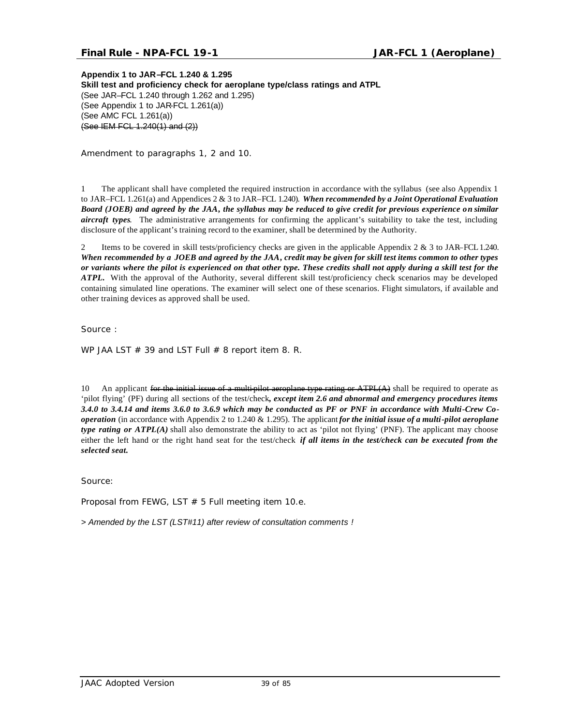### **Final Rule - NPA-FCL 19-1 JAR-FCL 1 (Aeroplane)**

**Appendix 1 to JAR–FCL 1.240 & 1.295 Skill test and proficiency check for aeroplane type/class ratings and ATPL** (See JAR–FCL 1.240 through 1.262 and 1.295) (See Appendix 1 to JAR-FCL 1.261(a)) (See AMC FCL 1.261(a)) (See IEM FCL 1.240(1) and (2))

*Amendment to paragraphs 1, 2 and 10.*

1 The applicant shall have completed the required instruction in accordance with the syllabus (see also Appendix 1 to JAR–FCL 1.261(a) and Appendices 2 & 3 to JAR–FCL 1.240). *When recommended by a Joint Operational Evaluation Board (JOEB) and agreed by the JAA, the syllabus may be reduced to give credit for previous experience on similar aircraft types*. The administrative arrangements for confirming the applicant's suitability to take the test, including disclosure of the applicant's training record to the examiner, shall be determined by the Authority.

2 Items to be covered in skill tests/proficiency checks are given in the applicable Appendix 2 & 3 to JAR–FCL 1.240. *When recommended by a JOEB and agreed by the JAA, credit may be given for skill test items common to other types or variants where the pilot is experienced on that other type. These credits shall not apply during a skill test for the ATPL.* With the approval of the Authority, several different skill test/proficiency check scenarios may be developed containing simulated line operations. The examiner will select one of these scenarios. Flight simulators, if available and other training devices as approved shall be used.

Source :

WP JAA LST  $#$  39 and LST Full  $#$  8 report item 8. R.

10 An applicant for the initial issue of a multi-pilot aeroplane type rating or  $\text{ATPL}(A)$  shall be required to operate as 'pilot flying' (PF) during all sections of the test/check*, except item 2.6 and abnormal and emergency procedures items 3.4.0 to 3.4.14 and items 3.6.0 to 3.6.9 which may be conducted as PF or PNF in accordance with Multi-Crew Cooperation* (in accordance with Appendix 2 to 1.240 & 1.295). The applicant *for the initial issue of a multi-pilot aeroplane type rating or ATPL(A)* shall also demonstrate the ability to act as 'pilot not flying' (PNF). The applicant may choose either the left hand or the right hand seat for the test/check *if all items in the test/check can be executed from the selected seat.*

Source:

Proposal from FEWG, LST  $# 5$  Full meeting item 10.e.

*> Amended by the LST (LST#11) after review of consultation comments !*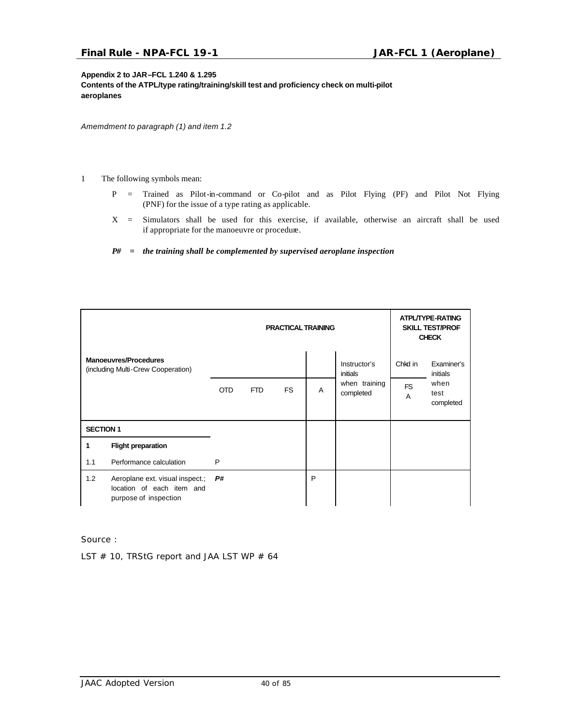### **Appendix 2 to JAR–FCL 1.240 & 1.295**

**Contents of the ATPL/type rating/training/skill test and proficiency check on multi-pilot aeroplanes**

*Amemdment to paragraph (1) and item 1.2* 

- 1 The following symbols mean:
	- P = Trained as Pilot-in-command or Co-pilot and as Pilot Flying (PF) and Pilot Not Flying (PNF) for the issue of a type rating as applicable.
	- X = Simulators shall be used for this exercise, if available, otherwise an aircraft shall be used if appropriate for the manoeuvre or procedure.
	- *P# = the training shall be complemented by supervised aeroplane inspection*

|                  |                                                                                       | <b>PRACTICAL TRAINING</b> |      |    |   | ATPL/TYPE-RATING<br><b>SKILL TEST/PROF</b><br><b>CHECK</b> |                |                           |
|------------------|---------------------------------------------------------------------------------------|---------------------------|------|----|---|------------------------------------------------------------|----------------|---------------------------|
|                  | <b>Manoeuvres/Procedures</b><br>(including Multi-Crew Cooperation)                    |                           |      |    |   | Instructor's<br>initials                                   | Chkd in        | Examiner's<br>initials    |
|                  |                                                                                       | <b>OTD</b>                | FTD. | FS | A | when training<br>completed                                 | <b>FS</b><br>A | when<br>test<br>completed |
| <b>SECTION 1</b> |                                                                                       |                           |      |    |   |                                                            |                |                           |
| 1                | <b>Flight preparation</b>                                                             |                           |      |    |   |                                                            |                |                           |
| 1.1              | Performance calculation                                                               | P                         |      |    |   |                                                            |                |                           |
| 1.2              | Aeroplane ext. visual inspect.;<br>location of each item and<br>purpose of inspection | P#                        |      |    | P |                                                            |                |                           |

Source :

LST  $#$  10, TRStG report and JAA LST WP  $#$  64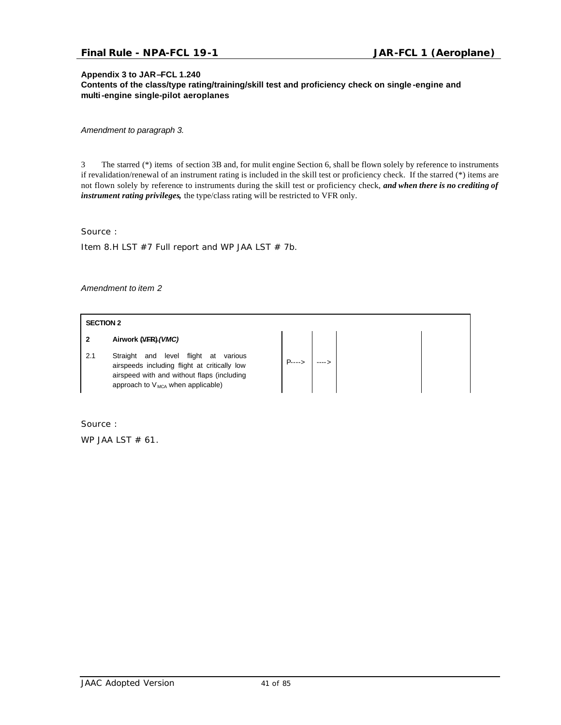### **Appendix 3 to JAR–FCL 1.240**

**Contents of the class/type rating/training/skill test and proficiency check on single -engine and multi-engine single-pilot aeroplanes**

*Amendment to paragraph 3.*

3 The starred (\*) items of section 3B and, for mulit engine Section 6, shall be flown solely by reference to instruments if revalidation/renewal of an instrument rating is included in the skill test or proficiency check. If the starred (\*) items are not flown solely by reference to instruments during the skill test or proficiency check, *and when there is no crediting of instrument rating privileges,* the type/class rating will be restricted to VFR only.

Source :

Item 8.H LST  $#7$  Full report and WP JAA LST  $# 7b$ .

*Amendment to item 2*

### **SECTION 2**

#### **2 Airwork (VFR)***(VMC)*

2.1 Straight and level flight at various airspeeds including flight at critically low airspeed with and without flaps (including approach to  $V_{MCA}$  when applicable)

 $\left| \begin{array}{c} \mathsf{P}\text{....} \end{array} \right|$  ---->

Source :

WP JAA LST  $# 61$ .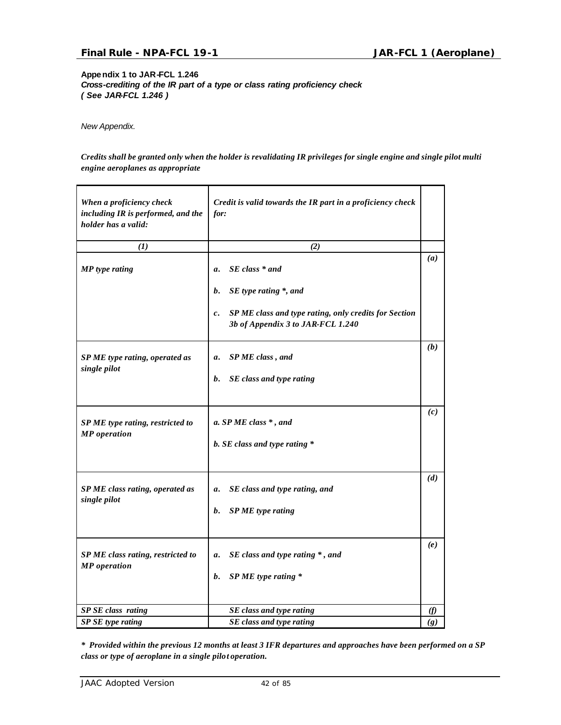**Appendix 1 to JAR-FCL 1.246**  *Cross-crediting of the IR part of a type or class rating proficiency check ( See JAR-FCL 1.246 )*

*New Appendix.*

*Credits shall be granted only when the holder is revalidating IR privileges for single engine and single pilot multi engine aeroplanes as appropriate*

| When a proficiency check<br>including IR is performed, and the<br>holder has a valid: | Credit is valid towards the IR part in a proficiency check<br>for:                                                                                                                            |               |
|---------------------------------------------------------------------------------------|-----------------------------------------------------------------------------------------------------------------------------------------------------------------------------------------------|---------------|
| $\bf(I)$                                                                              | (2)                                                                                                                                                                                           |               |
| <b>MP</b> type rating                                                                 | $SE$ class $*$ and<br>$\mathfrak{a}.$<br>SE type rating *, and<br><b>b</b> .<br>SP ME class and type rating, only credits for Section<br>$\mathfrak{c}.$<br>3b of Appendix 3 to JAR-FCL 1.240 | (a)           |
| SP ME type rating, operated as<br>single pilot                                        | SP ME class, and<br>a.<br>b. SE class and type rating                                                                                                                                         | (b)           |
| SP ME type rating, restricted to<br><b>MP</b> operation                               | a. SP ME class $*$ , and<br>b. SE class and type rating *                                                                                                                                     | (c)           |
| SP ME class rating, operated as<br>single pilot                                       | SE class and type rating, and<br>a.<br>SP ME type rating<br><b>b</b> .                                                                                                                        | (d)           |
| SP ME class rating, restricted to<br><b>MP</b> operation                              | SE class and type rating *, and<br>a.<br>$SPME$ type rating $*$<br>$\mathbf{b}$ .                                                                                                             | (e)           |
| SP SE class rating                                                                    | SE class and type rating                                                                                                                                                                      | $\mathcal{F}$ |
| SP SE type rating                                                                     | SE class and type rating                                                                                                                                                                      | (g)           |

*\* Provided within the previous 12 months at least 3 IFR departures and approaches have been performed on a SP class or type of aeroplane in a single pilot operation.*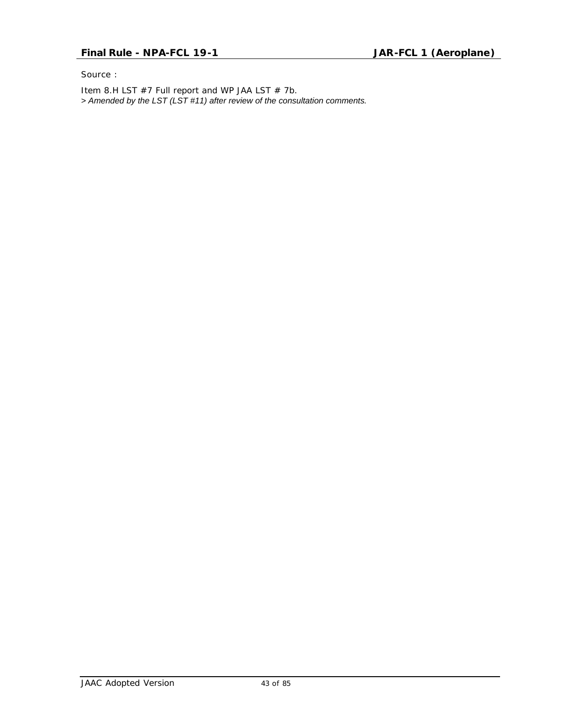Source :

Item 8.H LST #7 Full report and WP JAA LST # 7b. *> Amended by the LST (LST #11) after review of the consultation comments.*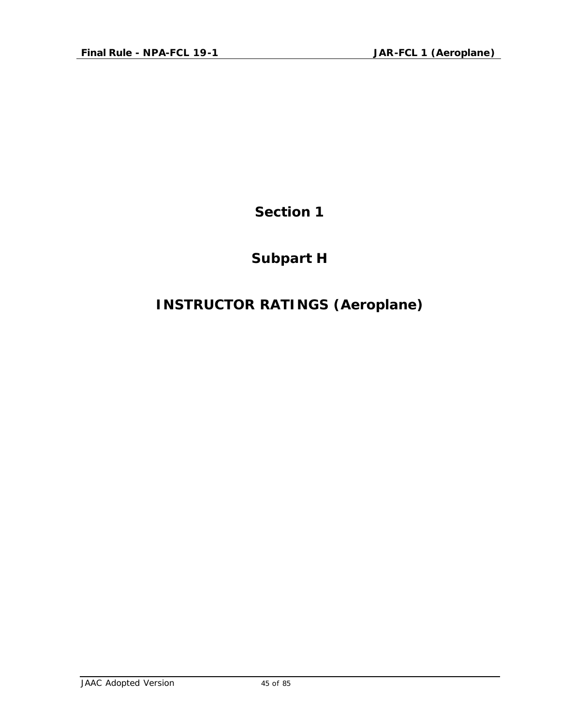## **Subpart H**

# **INSTRUCTOR RATINGS (Aeroplane)**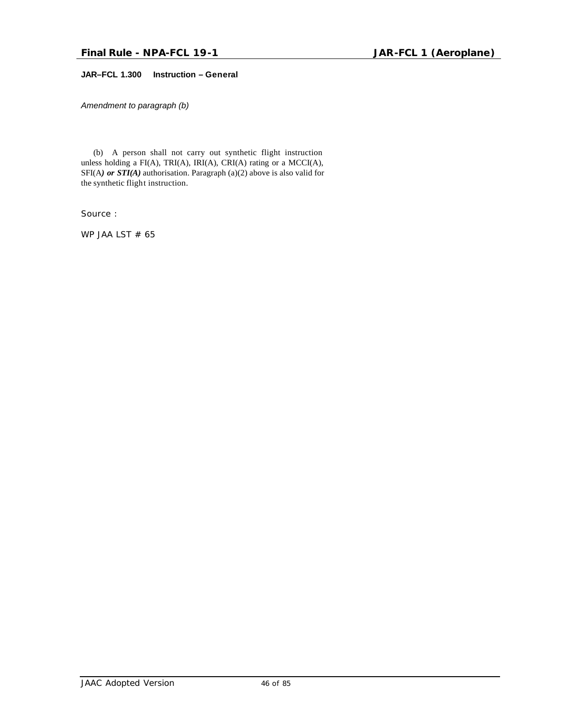### **JAR–FCL 1.300 Instruction – General**

*Amendment to paragraph (b)*

 (b) A person shall not carry out synthetic flight instruction unless holding a FI(A), TRI(A), IRI(A), CRI(A) rating or a MCCI(A), SFI(A*) or STI(A)* authorisation. Paragraph (a)(2) above is also valid for the synthetic flight instruction.

Source :

WP JAA LST  $# 65$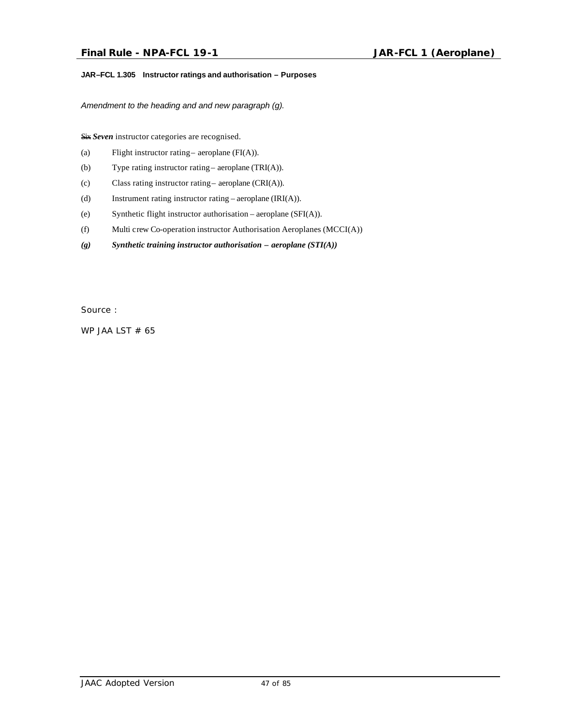### **JAR–FCL 1.305 Instructor ratings and authorisation – Purposes**

*Amendment to the heading and and new paragraph (g).*

Six *Seven* instructor categories are recognised.

- (a) Flight instructor rating aeroplane  $(FI(A))$ .
- (b) Type rating instructor rating aeroplane (TRI(A)).
- (c) Class rating instructor rating aeroplane (CRI(A)).
- (d) Instrument rating instructor rating aeroplane (IRI(A)).
- (e) Synthetic flight instructor authorisation aeroplane (SFI(A)).
- (f) Multi crew Co-operation instructor Authorisation Aeroplanes (MCCI(A))
- *(g) Synthetic training instructor authorisation aeroplane (STI(A))*

Source :

WP JAA LST  $# 65$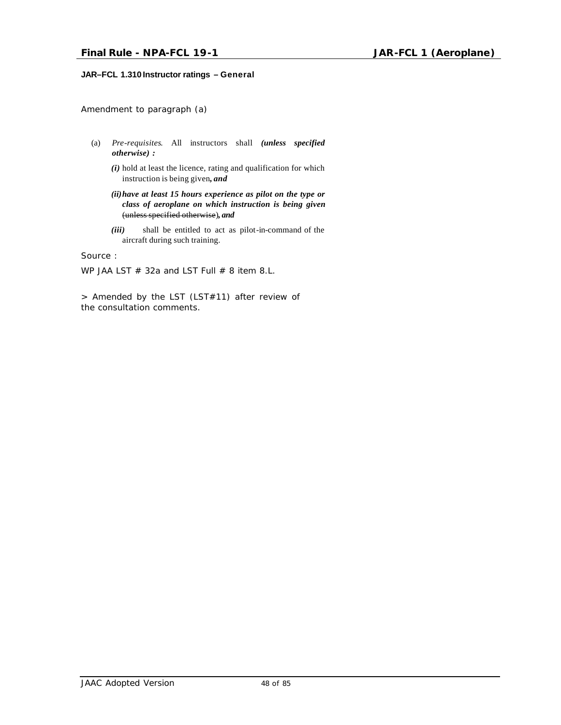### **JAR–FCL 1.310 Instructor ratings – General**

*Amendment to paragraph (a)*

- (a) *Pre-requisites*. All instructors shall *(unless specified otherwise) :*
	- *(i)* hold at least the licence, rating and qualification for which instruction is being given*, and*

*(ii)have at least 15 hours experience as pilot on the type or class of aeroplane on which instruction is being given* (unless specified otherwise)*, and*

*(iii)* shall be entitled to act as pilot-in-command of the aircraft during such training.

Source :

WP JAA LST  $#$  32a and LST Full  $#$  8 item 8.L.

> Amended by the LST (LST#11) after review of the consultation comments.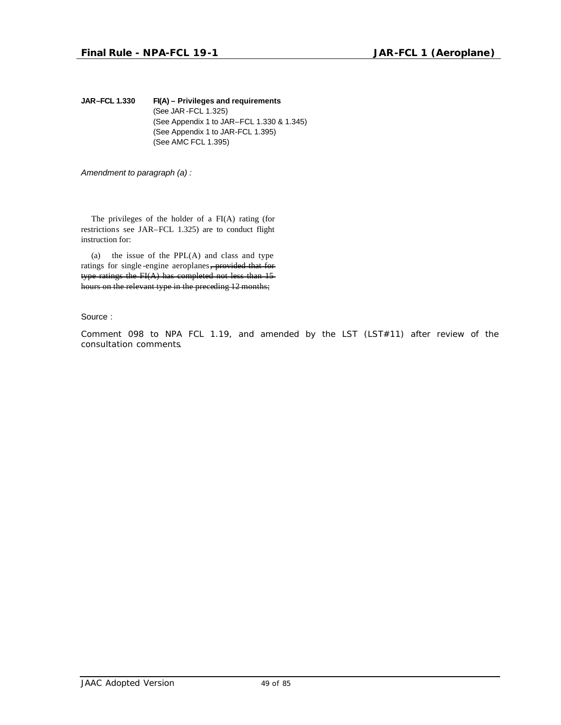**JAR–FCL 1.330 FI(A) – Privileges and requirements** (See JAR -FCL 1.325) (See Appendix 1 to JAR–FCL 1.330 & 1.345) (See Appendix 1 to JAR-FCL 1.395) (See AMC FCL 1.395)

*Amendment to paragraph (a) :*

The privileges of the holder of a FI(A) rating (for restrictions see JAR–FCL 1.325) are to conduct flight instruction for:

(a) the issue of the  $PPL(A)$  and class and type ratings for single -engine aeroplanes, provided that for type ratings the FI(A) has completed not less than 15 hours on the relevant type in the preceding 12 months;

Source :

Comment 098 to NPA FCL 1.19, and amended by the LST (LST#11) after review of the consultation comments.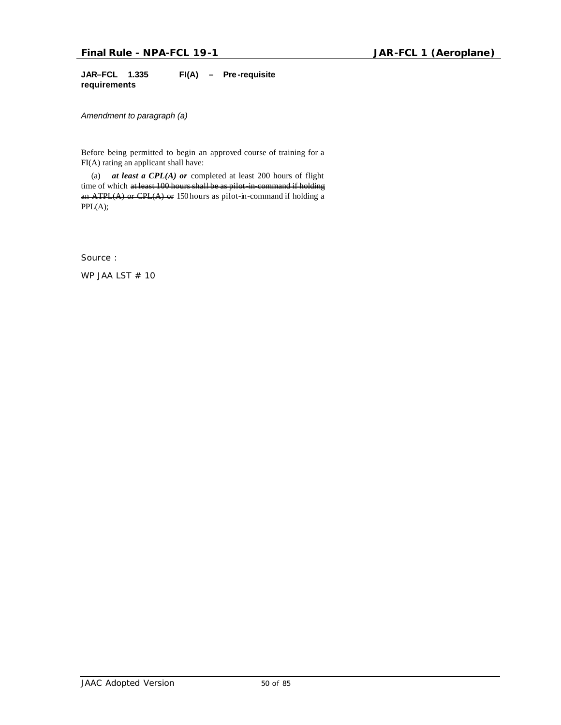**JAR–FCL 1.335 FI(A) – Pre -requisite requirements**

*Amendment to paragraph (a)*

Before being permitted to begin an approved course of training for a FI(A) rating an applicant shall have:

(a) *at least a CPL(A) or* completed at least 200 hours of flight time of which at least 100 hours shall be as pilot-in-command if holding an ATPL(A) or CPL(A) or 150 hours as pilot-in-command if holding a PPL(A);

Source :

WP JAA LST # 10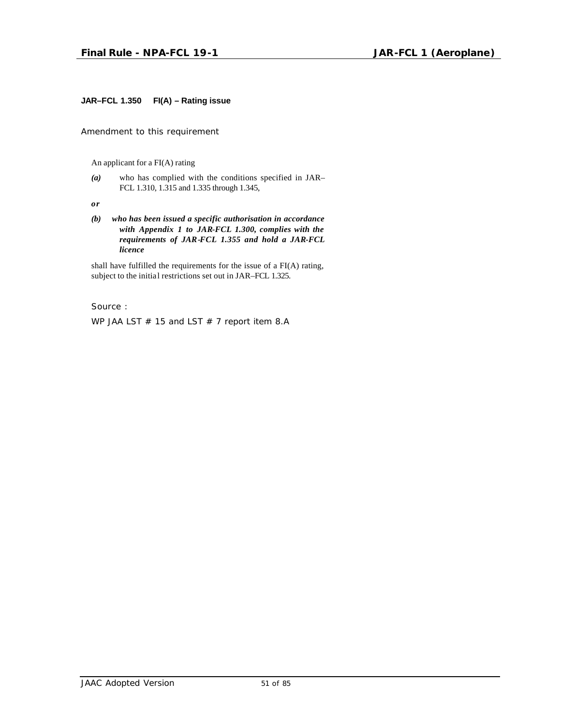### **JAR–FCL 1.350 FI(A) – Rating issue**

*Amendment to this requirement*

An applicant for a FI(A) rating

*(a)* who has complied with the conditions specified in JAR– FCL 1.310, 1.315 and 1.335 through 1.345,

*or*

*(b) who has been issued a specific authorisation in accordance with Appendix 1 to JAR-FCL 1.300, complies with the requirements of JAR-FCL 1.355 and hold a JAR-FCL licence*

shall have fulfilled the requirements for the issue of a FI(A) rating, subject to the initial restrictions set out in JAR–FCL 1.325.

Source :

WP JAA LST  $#$  15 and LST  $#$  7 report item 8.A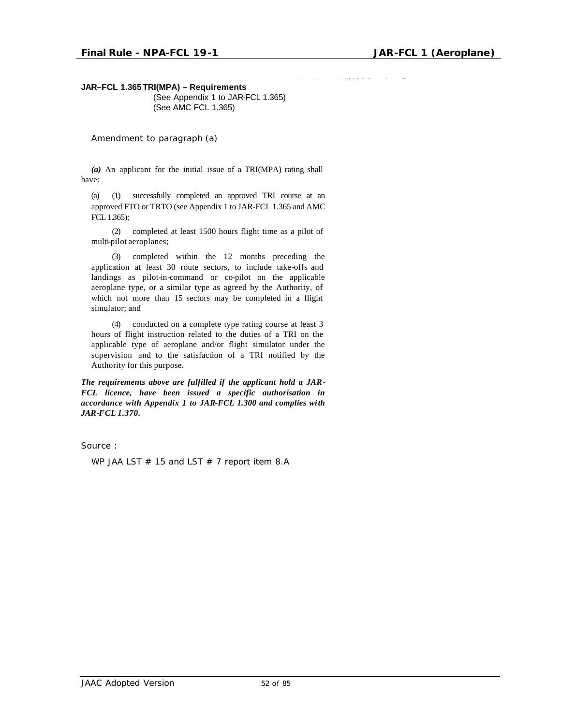JAR-FCL 1.365(b)(1) (continued)

**JAR–FCL 1.365 TRI(MPA) – Requirements**

(See Appendix 1 to JAR-FCL 1.365) (See AMC FCL 1.365)

*Amendment to paragraph (a)*

*(a)* An applicant for the initial issue of a TRI(MPA) rating shall have:

(a) (1) successfully completed an approved TRI course at an approved FTO or TRTO (see Appendix 1 to JAR-FCL 1.365 and AMC FCL 1.365);

(2) completed at least 1500 hours flight time as a pilot of multi-pilot aeroplanes;

(3) completed within the 12 months preceding the application at least 30 route sectors, to include take-offs and landings as pilot-in-command or co-pilot on the applicable aeroplane type, or a similar type as agreed by the Authority, of which not more than 15 sectors may be completed in a flight simulator; and

(4) conducted on a complete type rating course at least 3 hours of flight instruction related to the duties of a TRI on the applicable type of aeroplane and/or flight simulator under the supervision and to the satisfaction of a TRI notified by the Authority for this purpose.

*The requirements above are fulfilled if the applicant hold a JAR-FCL licence, have been issued a specific authorisation in accordance with Appendix 1 to JAR-FCL 1.300 and complies with JAR-FCL 1.370.*

Source :

WP JAA LST  $#$  15 and LST  $#$  7 report item 8.A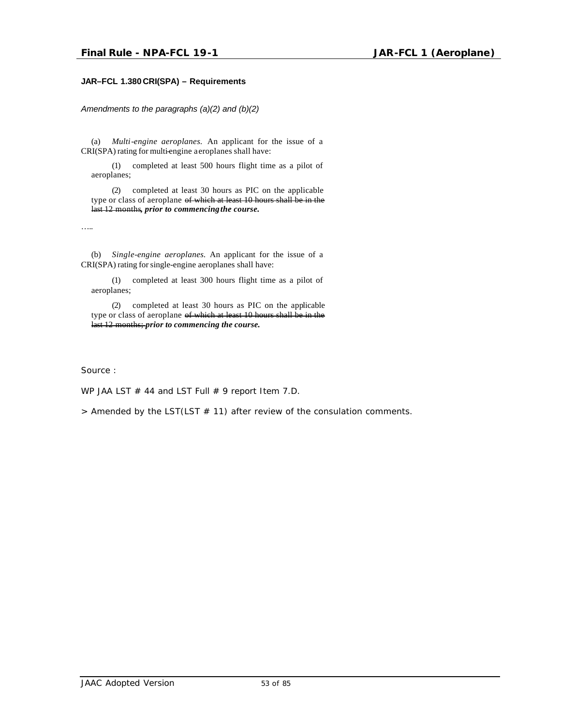### **JAR–FCL 1.380 CRI(SPA) – Requirements**

*Amendments to the paragraphs (a)(2) and (b)(2)*

(a) *Multi-engine aeroplanes.* An applicant for the issue of a CRI(SPA) rating for multi-engine aeroplanes shall have:

(1) completed at least 500 hours flight time as a pilot of aeroplanes;

(2) completed at least 30 hours as PIC on the applicable type or class of aeroplane of which at least 10 hours shall be in the last 12 months*, prior to commencing the course.*

…..

(b) *Single-engine aeroplanes.* An applicant for the issue of a CRI(SPA) rating for single-engine aeroplanes shall have:

(1) completed at least 300 hours flight time as a pilot of aeroplanes;

(2) completed at least 30 hours as PIC on the applicable type or class of aeroplane of which at least 10 hours shall be in the last 12 months; *prior to commencing the course.*

Source :

WP JAA LST  $#$  44 and LST Full  $#$  9 report Item 7.D.

*> Amended by the LST(LST # 11) after review of the consulation comments.*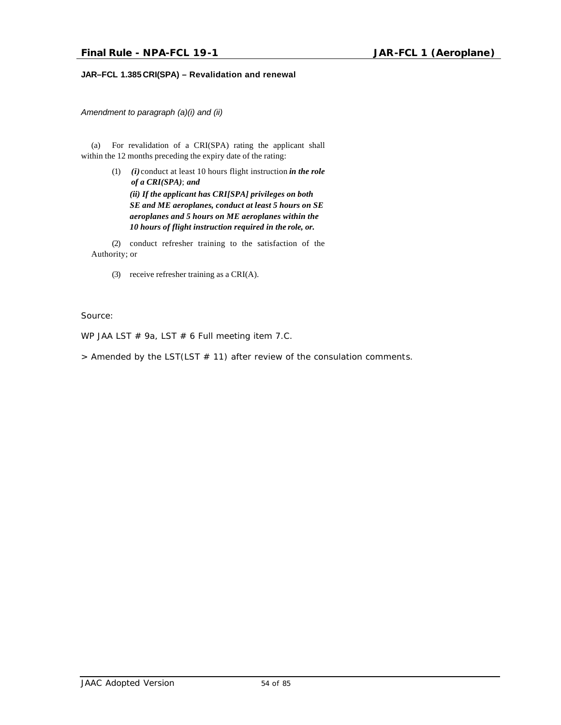### **JAR–FCL 1.385 CRI(SPA) – Revalidation and renewal**

*Amendment to paragraph (a)(i) and (ii)*

(a) For revalidation of a CRI(SPA) rating the applicant shall within the 12 months preceding the expiry date of the rating:

> (1) *(i)* conduct at least 10 hours flight instruction *in the role of a CRI(SPA)*; *and (ii) If the applicant has CRI[SPA] privileges on both SE and ME aeroplanes, conduct at least 5 hours on SE aeroplanes and 5 hours on ME aeroplanes within the 10 hours of flight instruction required in the role, or.*

(2) conduct refresher training to the satisfaction of the Authority; or

(3) receive refresher training as a CRI(A).

Source:

WP JAA LST # 9a, LST # 6 Full meeting item 7.C.

*> Amended by the LST(LST # 11) after review of the consulation comments.*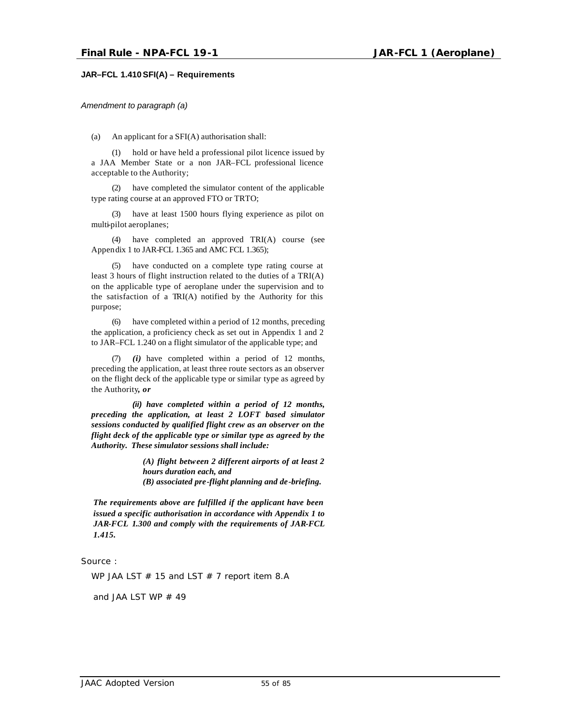### **JAR–FCL 1.410SFI(A) – Requirements**

*Amendment to paragraph (a)*

(a) An applicant for a SFI(A) authorisation shall:

(1) hold or have held a professional pilot licence issued by a JAA Member State or a non JAR–FCL professional licence acceptable to the Authority;

(2) have completed the simulator content of the applicable type rating course at an approved FTO or TRTO;

(3) have at least 1500 hours flying experience as pilot on multi-pilot aeroplanes;

(4) have completed an approved TRI(A) course (see Appendix 1 to JAR-FCL 1.365 and AMC FCL 1.365);

(5) have conducted on a complete type rating course at least 3 hours of flight instruction related to the duties of a TRI(A) on the applicable type of aeroplane under the supervision and to the satisfaction of a TRI(A) notified by the Authority for this purpose;

(6) have completed within a period of 12 months, preceding the application, a proficiency check as set out in Appendix 1 and 2 to JAR–FCL 1.240 on a flight simulator of the applicable type; and

(7) *(i)* have completed within a period of 12 months, preceding the application, at least three route sectors as an observer on the flight deck of the applicable type or similar type as agreed by the Authority*, or*

*(ii) have completed within a period of 12 months, preceding the application, at least 2 LOFT based simulator sessions conducted by qualified flight crew as an observer on the flight deck of the applicable type or similar type as agreed by the Authority. These simulator sessions shall include:*

> *(A) flight between 2 different airports of at least 2 hours duration each, and (B) associated pre-flight planning and de-briefing.*

*The requirements above are fulfilled if the applicant have been issued a specific authorisation in accordance with Appendix 1 to JAR-FCL 1.300 and comply with the requirements of JAR-FCL 1.415.*

Source :

WP JAA LST  $#$  15 and LST  $#$  7 report item 8.A

and JAA LST WP  $#$  49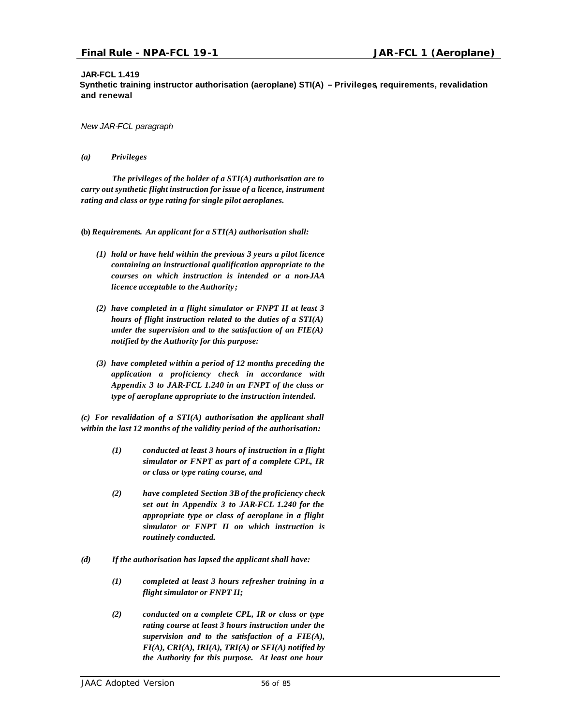### **JAR-FCL 1.419**

**Synthetic training instructor authorisation (aeroplane) STI(A) – Privileges, requirements, revalidation and renewal**

*New JAR-FCL paragraph*

### *(a) Privileges*

*The privileges of the holder of a STI(A) authorisation are to carry out synthetic flight instruction for issue of a licence, instrument rating and class or type rating for single pilot aeroplanes.*

**(b)** *Requirements. An applicant for a STI(A) authorisation shall:*

- *(1) hold or have held within the previous 3 years a pilot licence containing an instructional qualification appropriate to the courses on which instruction is intended or a non-JAA licence acceptable to the Authority;*
- *(2) have completed in a flight simulator or FNPT II at least 3 hours of flight instruction related to the duties of a STI(A) under the supervision and to the satisfaction of an FIE(A) notified by the Authority for this purpose:*
- *(3) have completed within a period of 12 months preceding the application a proficiency check in accordance with Appendix 3 to JAR-FCL 1.240 in an FNPT of the class or type of aeroplane appropriate to the instruction intended.*

*(c) For revalidation of a STI(A) authorisation the applicant shall within the last 12 months of the validity period of the authorisation:*

- *(1) conducted at least 3 hours of instruction in a flight simulator or FNPT as part of a complete CPL, IR or class or type rating course, and*
- *(2) have completed Section 3B of the proficiency check set out in Appendix 3 to JAR-FCL 1.240 for the appropriate type or class of aeroplane in a flight simulator or FNPT II on which instruction is routinely conducted.*
- *(d) If the authorisation has lapsed the applicant shall have:*
	- *(1) completed at least 3 hours refresher training in a flight simulator or FNPT II;*
	- *(2) conducted on a complete CPL, IR or class or type rating course at least 3 hours instruction under the supervision and to the satisfaction of a FIE(A), FI(A), CRI(A), IRI(A), TRI(A) or SFI(A) notified by the Authority for this purpose. At least one hour*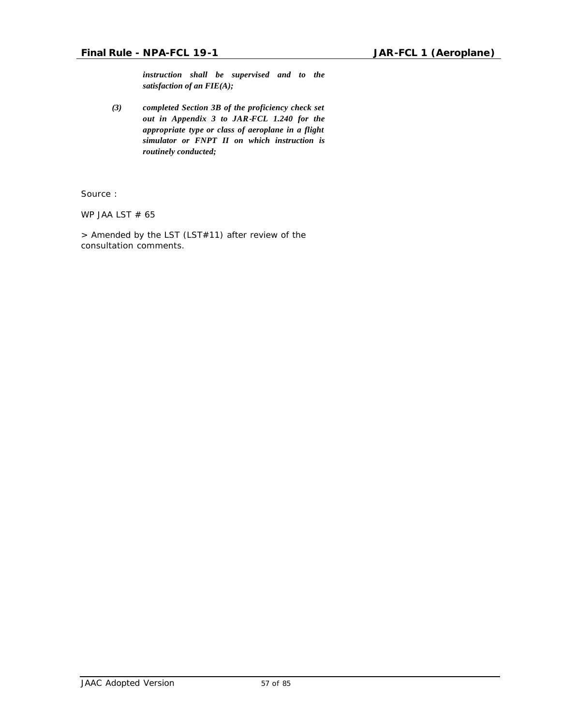*instruction shall be supervised and to the satisfaction of an FIE(A);*

*(3) completed Section 3B of the proficiency check set out in Appendix 3 to JAR-FCL 1.240 for the appropriate type or class of aeroplane in a flight simulator or FNPT II on which instruction is routinely conducted;*

Source :

WP JAA LST  $# 65$ 

*> Amended by the LST (LST#11) after review of the consultation comments.*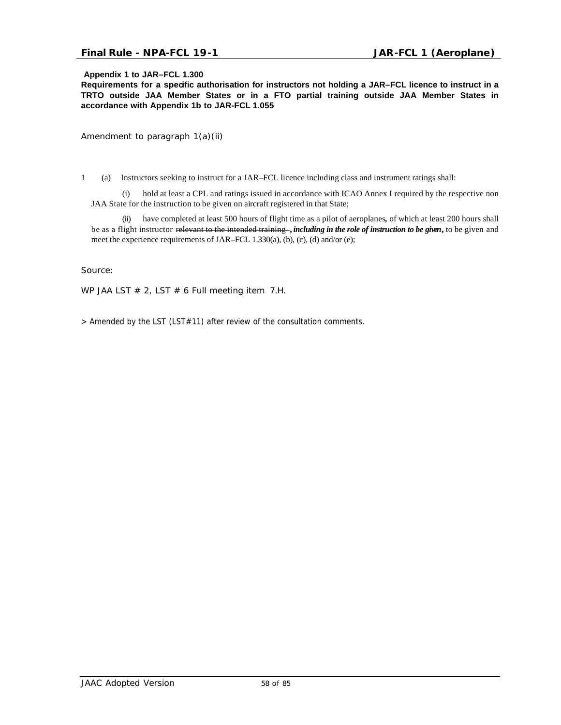### **Final Rule - NPA-FCL 19-1 JAR-FCL 1 (Aeroplane)**

### **Appendix 1 to JAR–FCL 1.300**

**Requirements for a specific authorisation for instructors not holding a JAR–FCL licence to instruct in a TRTO outside JAA Member States or in a FTO partial training outside JAA Member States in accordance with Appendix 1b to JAR-FCL 1.055**

*Amendment to paragraph 1(a)(ii)*

1 (a) Instructors seeking to instruct for a JAR–FCL licence including class and instrument ratings shall:

(i) hold at least a CPL and ratings issued in accordance with ICAO Annex I required by the respective non JAA State for the instruction to be given on aircraft registered in that State;

(ii) have completed at least 500 hours of flight time as a pilot of aeroplanes*,* of which at least 200 hours shall be as a flight instructor relevant to the intended training **,** *including in the role of instruction to be given***,** to be given and meet the experience requirements of JAR–FCL 1.330(a), (b), (c), (d) and/or (e);

Source:

WP JAA LST  $# 2$ , LST  $# 6$  Full meeting item 7.H.

*> Amended by the LST (LST#11) after review of the consultation comments.*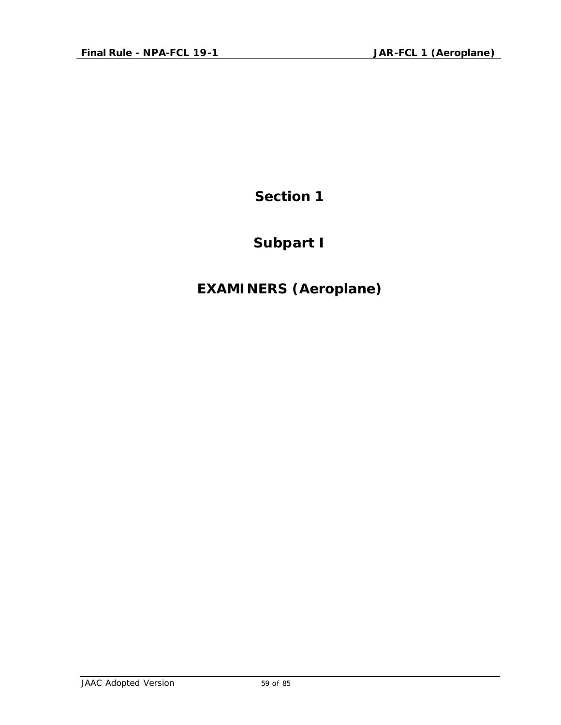## **Subpart I**

## **EXAMINERS (Aeroplane)**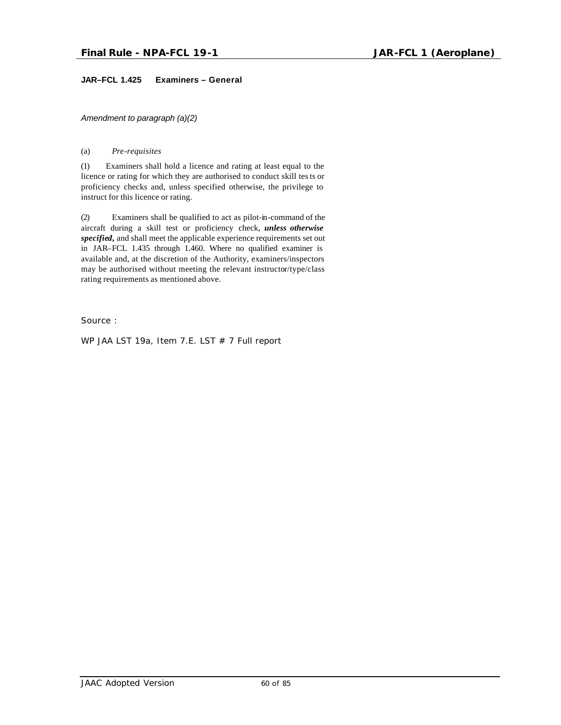### **JAR–FCL 1.425 Examiners – General**

*Amendment to paragraph (a)(2)*

### (a) *Pre-requisites*

(1) Examiners shall hold a licence and rating at least equal to the licence or rating for which they are authorised to conduct skill tests or proficiency checks and, unless specified otherwise, the privilege to instruct for this licence or rating.

(2) Examiners shall be qualified to act as pilot-in-command of the aircraft during a skill test or proficiency check, *unless otherwise specified,* and shall meet the applicable experience requirements set out in JAR–FCL 1.435 through 1.460. Where no qualified examiner is available and, at the discretion of the Authority, examiners/inspectors may be authorised without meeting the relevant instructor/type/class rating requirements as mentioned above.

Source :

WP JAA LST 19a, Item 7.E. LST # 7 Full report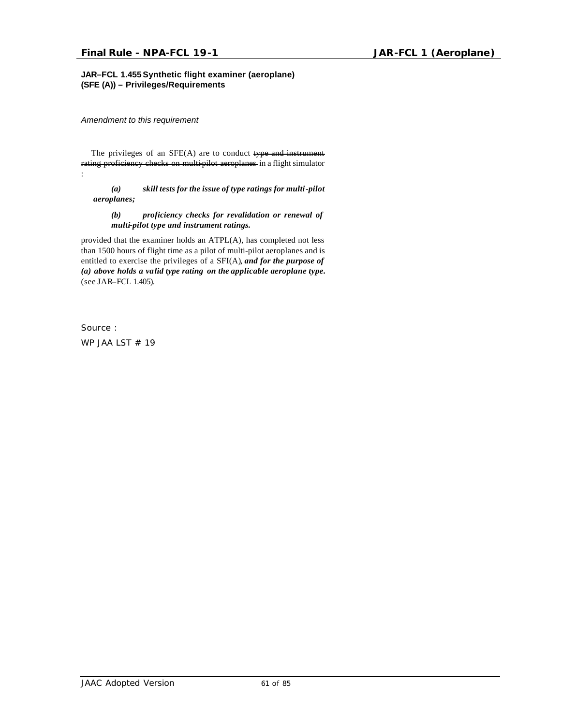### **JAR–FCL 1.455Synthetic flight examiner (aeroplane) (SFE (A)) – Privileges/Requirements**

*Amendment to this requirement*

The privileges of an SFE(A) are to conduct type and instrument rating proficiency checks on multi-pilot aeroplanes in a flight simulator :

*(a) skill tests for the issue of type ratings for multi-pilot aeroplanes;*

### *(b) proficiency checks for revalidation or renewal of multi-pilot type and instrument ratings.*

provided that the examiner holds an ATPL(A), has completed not less than 1500 hours of flight time as a pilot of multi-pilot aeroplanes and is entitled to exercise the privileges of a SFI(A), *and for the purpose of (a) above holds a valid type rating on the applicable aeroplane type.*  (see JAR–FCL 1.405).

Source :

WP JAA LST # 19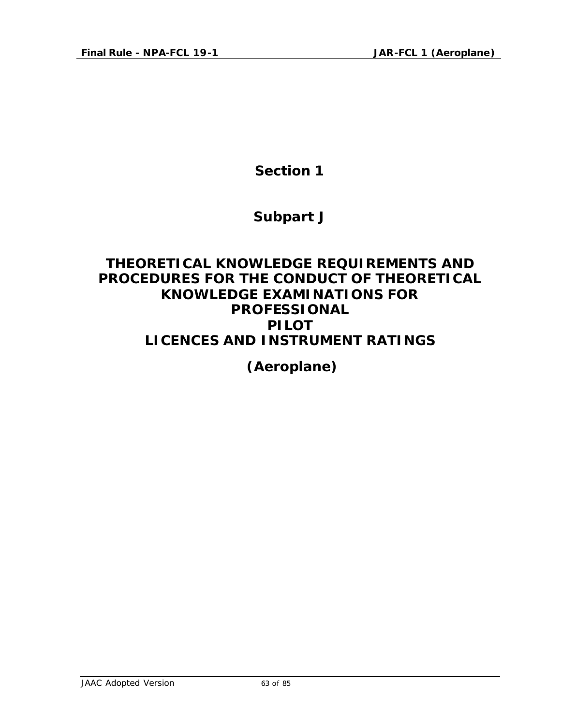### **Subpart J**

### **THEORETICAL KNOWLEDGE REQUIREMENTS AND PROCEDURES FOR THE CONDUCT OF THEORETICAL KNOWLEDGE EXAMINATIONS FOR PROFESSIONAL PILOT LICENCES AND INSTRUMENT RATINGS**

 **(Aeroplane)**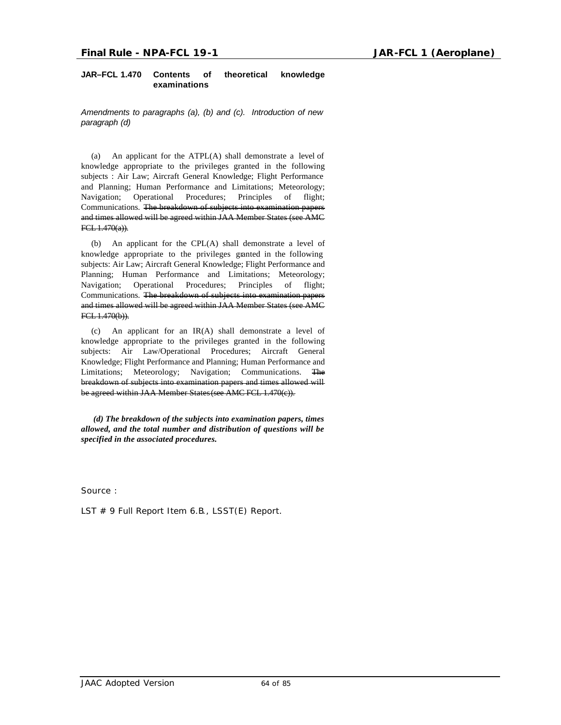### **JAR–FCL 1.470 Contents of theoretical knowledge examinations**

*Amendments to paragraphs (a), (b) and (c). Introduction of new paragraph (d)*

(a) An applicant for the ATPL(A) shall demonstrate a level of knowledge appropriate to the privileges granted in the following subjects : Air Law; Aircraft General Knowledge; Flight Performance and Planning; Human Performance and Limitations; Meteorology; Navigation; Operational Procedures; Principles of flight; Communications. The breakdown of subjects into examination papers and times allowed will be agreed within JAA Member States (see AMC FCL 1.470(a)).

(b) An applicant for the CPL(A) shall demonstrate a level of knowledge appropriate to the privileges granted in the following subjects: Air Law; Aircraft General Knowledge; Flight Performance and Planning; Human Performance and Limitations; Meteorology; Navigation; Operational Procedures; Principles of flight; Communications. The breakdown of subjects into examination papers and times allowed will be agreed within JAA Member States (see AMC FCL 1.470(b)).

(c) An applicant for an IR(A) shall demonstrate a level of knowledge appropriate to the privileges granted in the following subjects: Air Law/Operational Procedures; Aircraft General Knowledge; Flight Performance and Planning; Human Performance and Limitations; Meteorology; Navigation; Communications. The breakdown of subjects into examination papers and times allowed will be agreed within JAA Member States (see AMC FCL 1.470(c)).

*(d) The breakdown of the subjects into examination papers, times allowed, and the total number and distribution of questions will be specified in the associated procedures.*

Source :

LST # 9 Full Report Item 6.B., LSST(E) Report.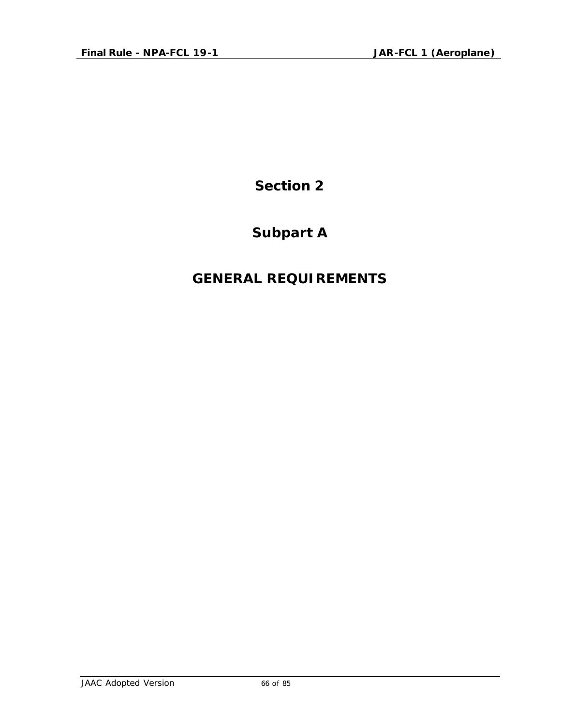## **Subpart A**

## **GENERAL REQUIREMENTS**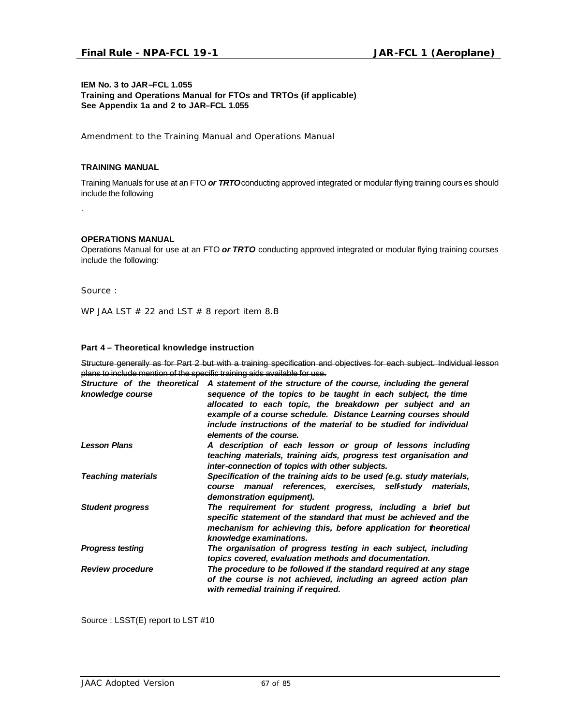### **IEM No. 3 to JAR–FCL 1.055 Training and Operations Manual for FTOs and TRTOs (if applicable) See Appendix 1a and 2 to JAR–FCL 1.055**

*Amendment to the Training Manual and Operations Manual*

### **TRAINING MANUAL**

Training Manuals for use at an FTO *or TRTO* conducting approved integrated or modular flying training cours es should include the following

.

### **OPERATIONS MANUAL**

Operations Manual for use at an FTO *or TRTO* conducting approved integrated or modular flying training courses include the following:

Source :

WP JAA LST  $# 22$  and LST  $# 8$  report item 8.B

### **Part 4 – Theoretical knowledge instruction**

Structure generally as for Part 2 but with a training specification and objectives for each subject. Individual lesson plans to include mention of the specific training aids available for use.

| Structure of the theoretical<br>knowledge course | A statement of the structure of the course, including the general<br>sequence of the topics to be taught in each subject, the time                                                                                             |
|--------------------------------------------------|--------------------------------------------------------------------------------------------------------------------------------------------------------------------------------------------------------------------------------|
|                                                  | allocated to each topic, the breakdown per subject and an<br>example of a course schedule. Distance Learning courses should                                                                                                    |
|                                                  | include instructions of the material to be studied for individual<br>elements of the course.                                                                                                                                   |
| <b>Lesson Plans</b>                              | A description of each lesson or group of lessons including<br>teaching materials, training aids, progress test organisation and<br>inter-connection of topics with other subjects.                                             |
| <b>Teaching materials</b>                        | Specification of the training aids to be used (e.g. study materials,<br>manual references, exercises, self-study materials,<br>course<br>demonstration equipment).                                                             |
| <b>Student progress</b>                          | The requirement for student progress, including a brief but<br>specific statement of the standard that must be achieved and the<br>mechanism for achieving this, before application for theoretical<br>knowledge examinations. |
| <b>Progress testing</b>                          | The organisation of progress testing in each subject, including<br>topics covered, evaluation methods and documentation.                                                                                                       |
| <b>Review procedure</b>                          | The procedure to be followed if the standard required at any stage<br>of the course is not achieved, including an agreed action plan<br>with remedial training if required.                                                    |

Source : LSST(E) report to LST #10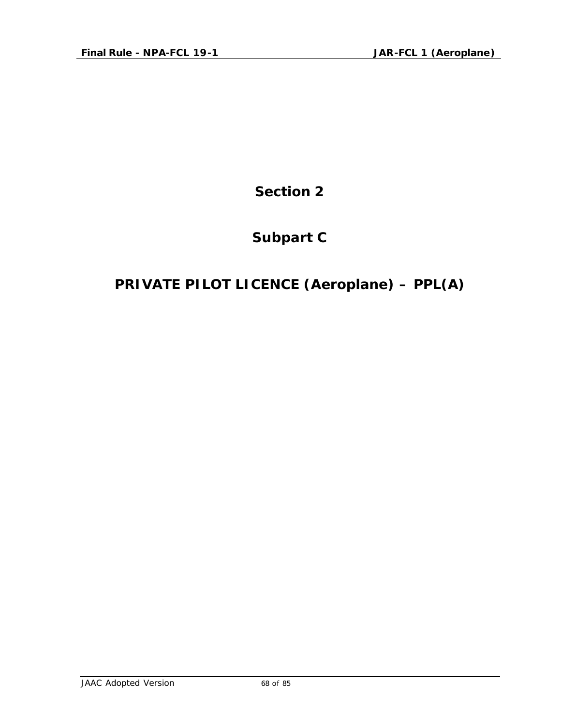## **Subpart C**

## **PRIVATE PILOT LICENCE (Aeroplane) – PPL(A)**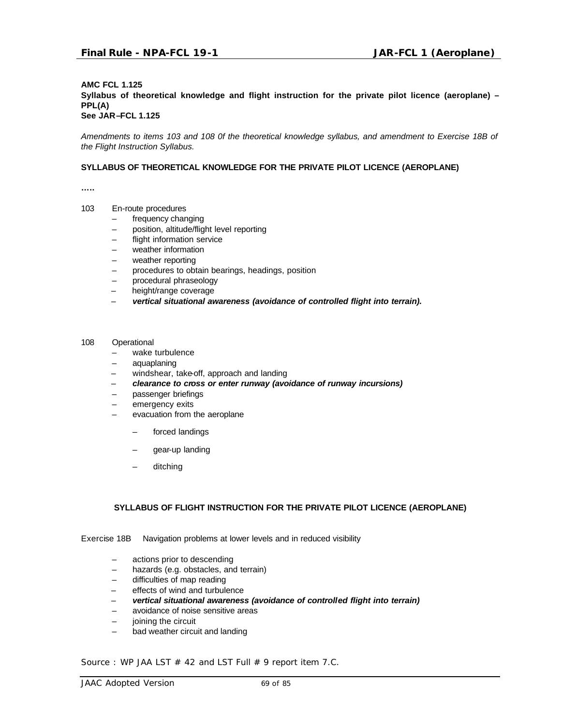### **AMC FCL 1.125 Syllabus of theoretical knowledge and flight instruction for the private pilot licence (aeroplane) – PPL(A) See JAR–FCL 1.125**

*Amendments to items 103 and 108 0f the theoretical knowledge syllabus, and amendment to Exercise 18B of the Flight Instruction Syllabus.*

### **SYLLABUS OF THEORETICAL KNOWLEDGE FOR THE PRIVATE PILOT LICENCE (AEROPLANE)**

**…..**

- 103 En-route procedures
	- frequency changing
	- position, altitude/flight level reporting
	- flight information service
	- weather information
	- weather reporting
	- procedures to obtain bearings, headings, position
	- procedural phraseology
	- height/range coverage
	- *vertical situational awareness (avoidance of controlled flight into terrain).*
- 108 Operational
	- wake turbulence
	- aquaplaning
	- windshear, take-off, approach and landing
	- – *clearance to cross or enter runway (avoidance of runway incursions)*
	- passenger briefings
	- emergency exits
	- evacuation from the aeroplane
		- forced landings
		- gear-up landing
		- ditching

#### **SYLLABUS OF FLIGHT INSTRUCTION FOR THE PRIVATE PILOT LICENCE (AEROPLANE)**

Exercise 18B Navigation problems at lower levels and in reduced visibility

- actions prior to descending
- hazards (e.g. obstacles, and terrain)
- difficulties of map reading
- effects of wind and turbulence
- *vertical situational awareness (avoidance of controlled flight into terrain)*
- avoidance of noise sensitive areas
- joining the circuit
- bad weather circuit and landing

Source : WP JAA LST  $#$  42 and LST Full  $#$  9 report item 7.C.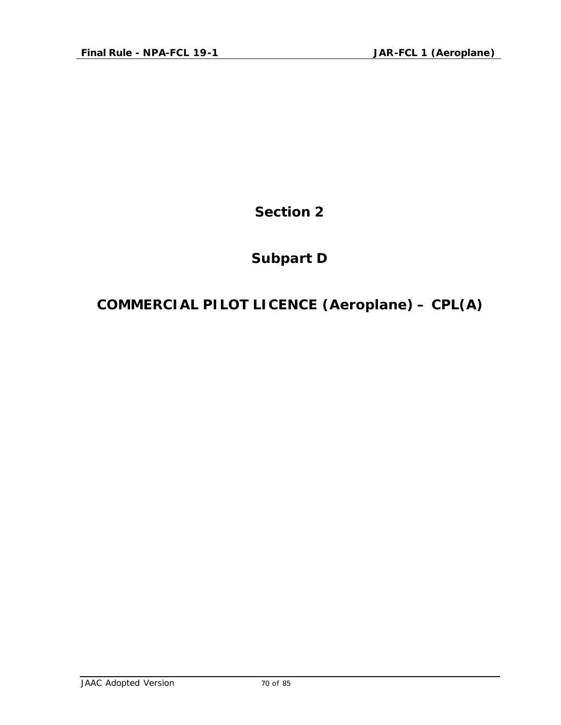## **Subpart D**

# **COMMERCIAL PILOT LICENCE (Aeroplane) – CPL(A)**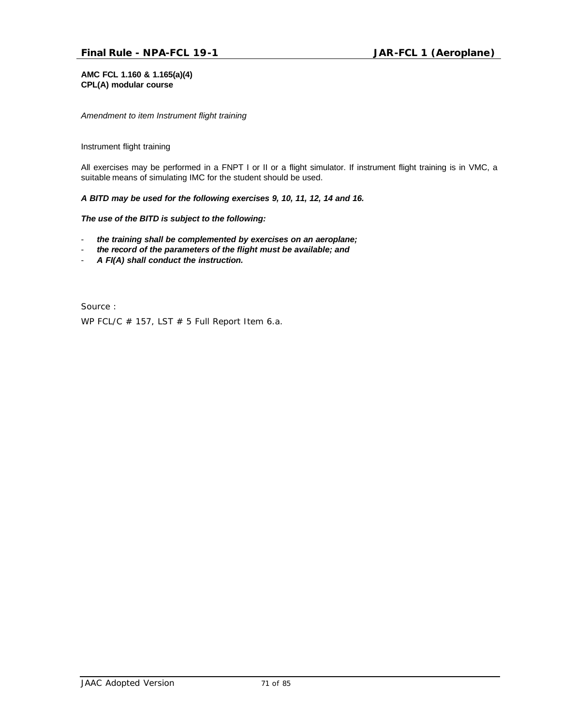### **AMC FCL 1.160 & 1.165(a)(4) CPL(A) modular course**

*Amendment to item Instrument flight training*

### Instrument flight training

All exercises may be performed in a FNPT I or II or a flight simulator. If instrument flight training is in VMC, a suitable means of simulating IMC for the student should be used.

*A BITD may be used for the following exercises 9, 10, 11, 12, 14 and 16.*

*The use of the BITD is subject to the following:*

- *the training shall be complemented by exercises on an aeroplane;*
- the record of the parameters of the flight must be available; and
- *A FI(A) shall conduct the instruction.*

Source : WP FCL/C  $#$  157, LST  $#$  5 Full Report Item 6.a.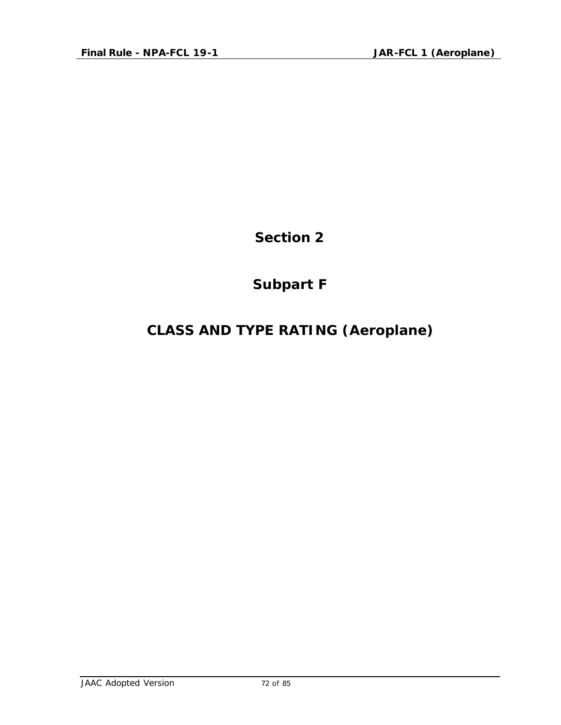## **Subpart F**

## **CLASS AND TYPE RATING (Aeroplane)**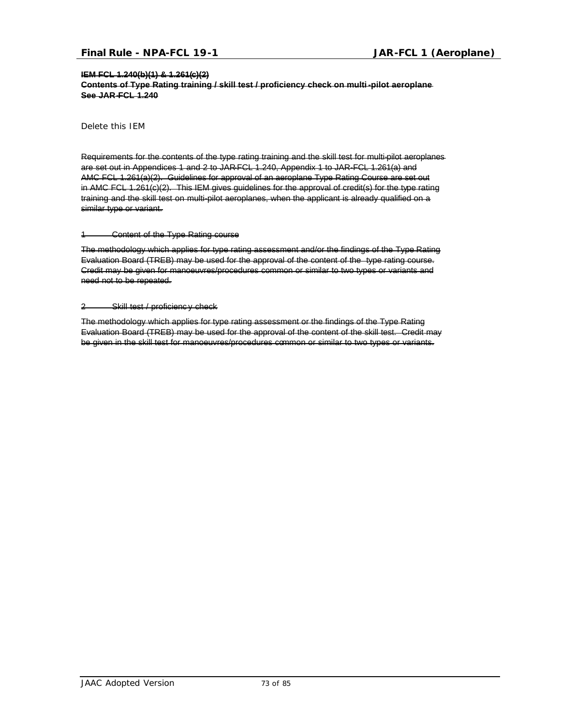#### **IEM FCL 1.240(b)(1) & 1.261(c)(2)**

**Contents of Type Rating training / skill test / proficiency check on multi-pilot aeroplane See JAR-FCL 1.240**

*Delete this IEM*

Requirements for the contents of the type rating training and the skill test for multi-pilot aeroplanes are set out in Appendices 1 and 2 to JAR-FCL 1.240, Appendix 1 to JAR-FCL 1.261(a) and AMC FCL 1.261(a)(2). Guidelines for approval of an aeroplane Type Rating Course are set out in AMC FCL 1.261(c)(2). This IEM gives guidelines for the approval of credit(s) for the type rating training and the skill test on multi-pilot aeroplanes, when the applicant is already qualified on a similar type or variant.

#### 1 Content of the Type Rating course

The methodology which applies for type rating assessment and/or the findings of the Type Rating Evaluation Board (TREB) may be used for the approval of the content of the type rating course. Credit may be given for manoeuvres/procedures common or similar to two types or variants and need not to be repeated.

#### 2 Skill test / proficienc y check

The methodology which applies for type rating assessment or the findings of the Type Rating Evaluation Board (TREB) may be used for the approval of the content of the skill test. Credit may be given in the skill test for manoeuvres/procedures common or similar to two types or variants.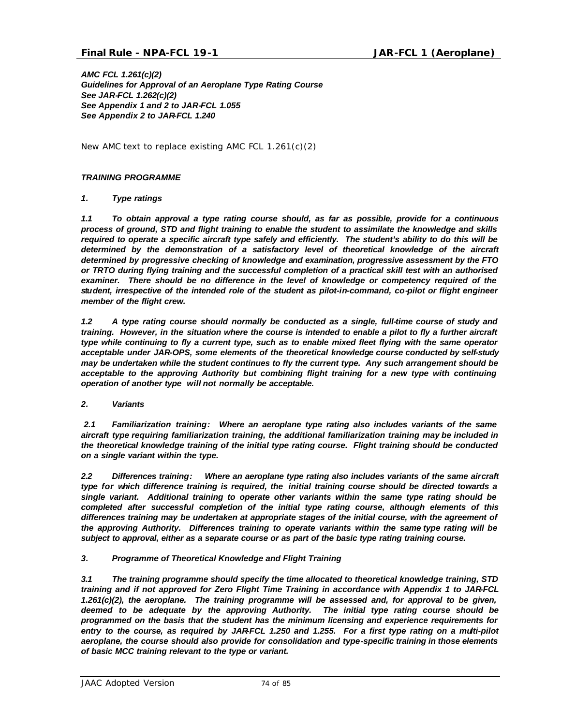*AMC FCL 1.261(c)(2) Guidelines for Approval of an Aeroplane Type Rating Course See JAR-FCL 1.262(c)(2) See Appendix 1 and 2 to JAR-FCL 1.055 See Appendix 2 to JAR-FCL 1.240*

*New AMC text to replace existing AMC FCL 1.261(c)(2)*

## *TRAINING PROGRAMME*

## *1. Type ratings*

*1.1 To obtain approval a type rating course should, as far as possible, provide for a continuous process of ground, STD and flight training to enable the student to assimilate the knowledge and skills required to operate a specific aircraft type safely and efficiently. The student's ability to do this will be determined by the demonstration of a satisfactory level of theoretical knowledge of the aircraft determined by progressive checking of knowledge and examination, progressive assessment by the FTO or TRTO during flying training and the successful completion of a practical skill test with an authorised examiner. There should be no difference in the level of knowledge or competency required of the student, irrespective of the intended role of the student as pilot-in-command, co-pilot or flight engineer member of the flight crew.*

*1.2 A type rating course should normally be conducted as a single, full-time course of study and training. However, in the situation where the course is intended to enable a pilot to fly a further aircraft type while continuing to fly a current type, such as to enable mixed fleet flying with the same operator acceptable under JAR-OPS, some elements of the theoretical knowledge course conducted by self-study may be undertaken while the student continues to fly the current type. Any such arrangement should be acceptable to the approving Authority but combining flight training for a new type with continuing operation of another type will not normally be acceptable.* 

### *2. Variants*

 *2.1 Familiarization training: Where an aeroplane type rating also includes variants of the same aircraft type requiring familiarization training, the additional familiarization training may be included in the theoretical knowledge training of the initial type rating course. Flight training should be conducted on a single variant within the type.*

*2.2 Differences training: Where an aeroplane type rating also includes variants of the same aircraft type for which difference training is required, the initial training course should be directed towards a single variant. Additional training to operate other variants within the same type rating should be completed after successful completion of the initial type rating course, although elements of this differences training may be undertaken at appropriate stages of the initial course, with the agreement of the approving Authority. Differences training to operate variants within the same type rating will be subject to approval, either as a separate course or as part of the basic type rating training course.*

## *3. Programme of Theoretical Knowledge and Flight Training*

*3.1 The training programme should specify the time allocated to theoretical knowledge training, STD training and if not approved for Zero Flight Time Training in accordance with Appendix 1 to JAR-FCL 1.261(c)(2), the aeroplane. The training programme will be assessed and, for approval to be given, deemed to be adequate by the approving Authority. The initial type rating course should be programmed on the basis that the student has the minimum licensing and experience requirements for entry to the course, as required by JAR-FCL 1.250 and 1.255. For a first type rating on a multi-pilot aeroplane, the course should also provide for consolidation and type-specific training in those elements of basic MCC training relevant to the type or variant.*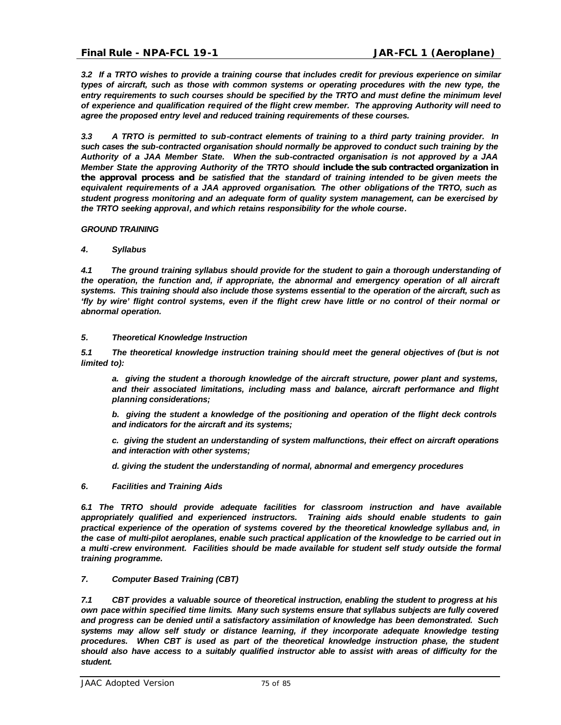*3.2 If a TRTO wishes to provide a training course that includes credit for previous experience on similar types of aircraft, such as those with common systems or operating procedures with the new type, the entry requirements to such courses should be specified by the TRTO and must define the minimum level of experience and qualification required of the flight crew member. The approving Authority will need to agree the proposed entry level and reduced training requirements of these courses.*

*3.3 A TRTO is permitted to sub-contract elements of training to a third party training provider. In such cases the sub-contracted organisation should normally be approved to conduct such training by the Authority of a JAA Member State. When the sub-contracted organisation is not approved by a JAA Member State the approving Authority of the TRTO should include the sub contracted organization in the approval process and be satisfied that the standard of training intended to be given meets the equivalent requirements of a JAA approved organisation. The other obligations of the TRTO, such as student progress monitoring and an adequate form of quality system management, can be exercised by the TRTO seeking approval, and which retains responsibility for the whole course.* 

### *GROUND TRAINING*

## *4. Syllabus*

*4.1 The ground training syllabus should provide for the student to gain a thorough understanding of the operation, the function and, if appropriate, the abnormal and emergency operation of all aircraft systems. This training should also include those systems essential to the operation of the aircraft, such as 'fly by wire' flight control systems, even if the flight crew have little or no control of their normal or abnormal operation.*

### *5. Theoretical Knowledge Instruction*

*5.1 The theoretical knowledge instruction training should meet the general objectives of (but is not limited to):*

*a. giving the student a thorough knowledge of the aircraft structure, power plant and systems, and their associated limitations, including mass and balance, aircraft performance and flight planning considerations;*

*b. giving the student a knowledge of the positioning and operation of the flight deck controls and indicators for the aircraft and its systems;* 

*c. giving the student an understanding of system malfunctions, their effect on aircraft operations and interaction with other systems;*

*d. giving the student the understanding of normal, abnormal and emergency procedures*

### *6. Facilities and Training Aids*

*6.1 The TRTO should provide adequate facilities for classroom instruction and have available appropriately qualified and experienced instructors. Training aids should enable students to gain practical experience of the operation of systems covered by the theoretical knowledge syllabus and, in the case of multi-pilot aeroplanes, enable such practical application of the knowledge to be carried out in a multi-crew environment. Facilities should be made available for student self study outside the formal training programme.*

# *7. Computer Based Training (CBT)*

*7.1 CBT provides a valuable source of theoretical instruction, enabling the student to progress at his own pace within specified time limits. Many such systems ensure that syllabus subjects are fully covered and progress can be denied until a satisfactory assimilation of knowledge has been demonstrated. Such systems may allow self study or distance learning, if they incorporate adequate knowledge testing procedures. When CBT is used as part of the theoretical knowledge instruction phase, the student should also have access to a suitably qualified instructor able to assist with areas of difficulty for the student.*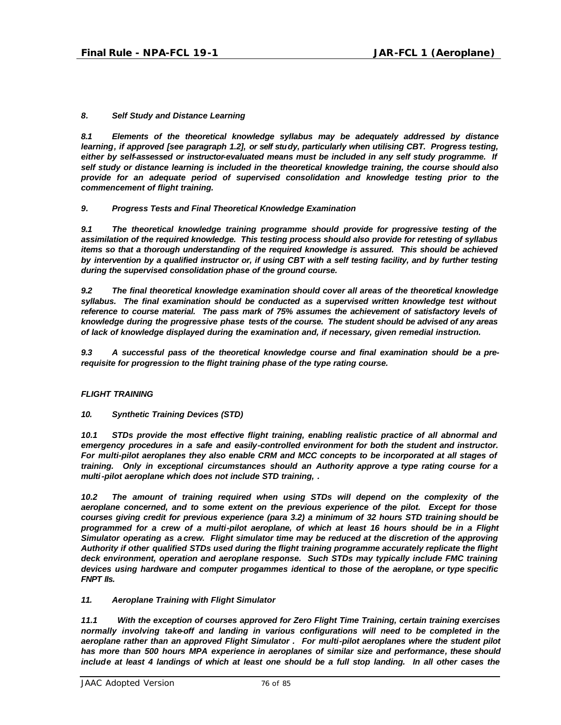## *8. Self Study and Distance Learning*

*8.1 Elements of the theoretical knowledge syllabus may be adequately addressed by distance learning, if approved [see paragraph 1.2], or self study, particularly when utilising CBT. Progress testing,*  either by self-assessed or instructor-evaluated means must be included in any self study programme. If *self study or distance learning is included in the theoretical knowledge training, the course should also provide for an adequate period of supervised consolidation and knowledge testing prior to the commencement of flight training.*

### *9. Progress Tests and Final Theoretical Knowledge Examination*

*9.1 The theoretical knowledge training programme should provide for progressive testing of the assimilation of the required knowledge. This testing process should also provide for retesting of syllabus items so that a thorough understanding of the required knowledge is assured. This should be achieved by intervention by a qualified instructor or, if using CBT with a self testing facility, and by further testing during the supervised consolidation phase of the ground course.*

*9.2 The final theoretical knowledge examination should cover all areas of the theoretical knowledge syllabus. The final examination should be conducted as a supervised written knowledge test without reference to course material. The pass mark of 75% assumes the achievement of satisfactory levels of knowledge during the progressive phase tests of the course. The student should be advised of any areas of lack of knowledge displayed during the examination and, if necessary, given remedial instruction.*

*9.3 A successful pass of the theoretical knowledge course and final examination should be a prerequisite for progression to the flight training phase of the type rating course.*

## *FLIGHT TRAINING*

*10. Synthetic Training Devices (STD)*

*10.1 STDs provide the most effective flight training, enabling realistic practice of all abnormal and emergency procedures in a safe and easily-controlled environment for both the student and instructor. For multi-pilot aeroplanes they also enable CRM and MCC concepts to be incorporated at all stages of training. Only in exceptional circumstances should an Authority approve a type rating course for a multi-pilot aeroplane which does not include STD training, .* 

*10.2 The amount of training required when using STDs will depend on the complexity of the aeroplane concerned, and to some extent on the previous experience of the pilot. Except for those courses giving credit for previous experience (para 3.2) a minimum of 32 hours STD training should be programmed for a crew of a multi-pilot aeroplane, of which at least 16 hours should be in a Flight Simulator operating as a crew. Flight simulator time may be reduced at the discretion of the approving Authority if other qualified STDs used during the flight training programme accurately replicate the flight deck environment, operation and aeroplane response. Such STDs may typically include FMC training devices using hardware and computer progammes identical to those of the aeroplane, or type specific FNPT IIs.*

### *11. Aeroplane Training with Flight Simulator*

*11.1 With the exception of courses approved for Zero Flight Time Training, certain training exercises normally involving take-off and landing in various configurations will need to be completed in the aeroplane rather than an approved Flight Simulator . For multi-pilot aeroplanes where the student pilot has more than 500 hours MPA experience in aeroplanes of similar size and performance, these should include at least 4 landings of which at least one should be a full stop landing. In all other cases the*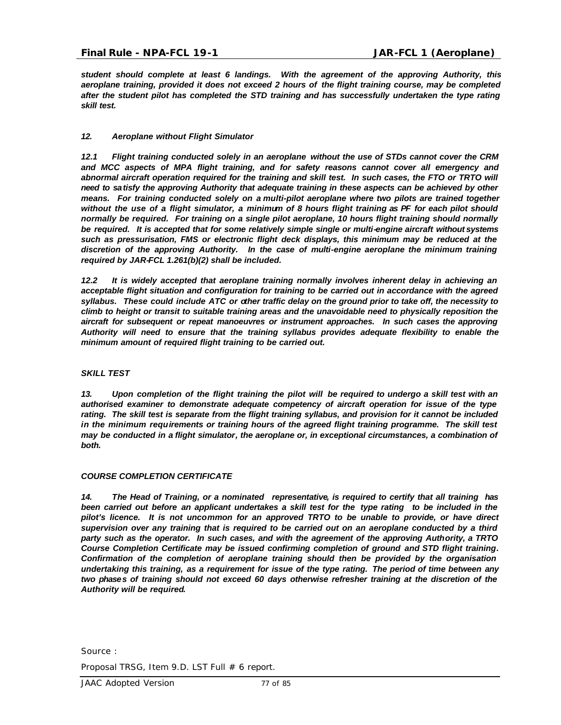*student should complete at least 6 landings. With the agreement of the approving Authority, this aeroplane training, provided it does not exceed 2 hours of the flight training course, may be completed after the student pilot has completed the STD training and has successfully undertaken the type rating skill test.*

## *12. Aeroplane without Flight Simulator*

*12.1 Flight training conducted solely in an aeroplane without the use of STDs cannot cover the CRM and MCC aspects of MPA flight training, and for safety reasons cannot cover all emergency and abnormal aircraft operation required for the training and skill test. In such cases, the FTO or TRTO will need to satisfy the approving Authority that adequate training in these aspects can be achieved by other means. For training conducted solely on a multi-pilot aeroplane where two pilots are trained together without the use of a flight simulator, a minimum of 8 hours flight training as PF for each pilot should normally be required. For training on a single pilot aeroplane, 10 hours flight training should normally be required. It is accepted that for some relatively simple single or multi-engine aircraft without systems such as pressurisation, FMS or electronic flight deck displays, this minimum may be reduced at the discretion of the approving Authority. In the case of multi-engine aeroplane the minimum training required by JAR-FCL 1.261(b)(2) shall be included.*

*12.2 It is widely accepted that aeroplane training normally involves inherent delay in achieving an acceptable flight situation and configuration for training to be carried out in accordance with the agreed syllabus. These could include ATC or other traffic delay on the ground prior to take off, the necessity to climb to height or transit to suitable training areas and the unavoidable need to physically reposition the aircraft for subsequent or repeat manoeuvres or instrument approaches. In such cases the approving Authority will need to ensure that the training syllabus provides adequate flexibility to enable the minimum amount of required flight training to be carried out.*

### *SKILL TEST*

*13. Upon completion of the flight training the pilot will be required to undergo a skill test with an authorised examiner to demonstrate adequate competency of aircraft operation for issue of the type rating. The skill test is separate from the flight training syllabus, and provision for it cannot be included*  in the minimum requirements or training hours of the agreed flight training programme. The skill test *may be conducted in a flight simulator, the aeroplane or, in exceptional circumstances, a combination of both.*

### *COURSE COMPLETION CERTIFICATE*

*14. The Head of Training, or a nominated representative, is required to certify that all training has been carried out before an applicant undertakes a skill test for the type rating to be included in the pilot's licence. It is not uncommon for an approved TRTO to be unable to provide, or have direct supervision over any training that is required to be carried out on an aeroplane conducted by a third party such as the operator. In such cases, and with the agreement of the approving Authority, a TRTO Course Completion Certificate may be issued confirming completion of ground and STD flight training. Confirmation of the completion of aeroplane training should then be provided by the organisation undertaking this training, as a requirement for issue of the type rating. The period of time between any two phases of training should not exceed 60 days otherwise refresher training at the discretion of the Authority will be required.*

Source :

Proposal TRSG, Item 9.D. LST Full # 6 report.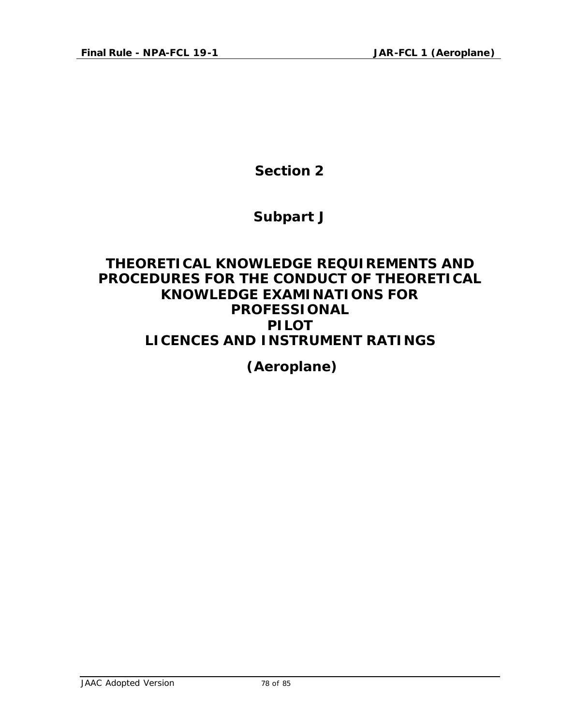**Section 2**

# **Subpart J**

# **THEORETICAL KNOWLEDGE REQUIREMENTS AND PROCEDURES FOR THE CONDUCT OF THEORETICAL KNOWLEDGE EXAMINATIONS FOR PROFESSIONAL PILOT LICENCES AND INSTRUMENT RATINGS**

 **(Aeroplane)**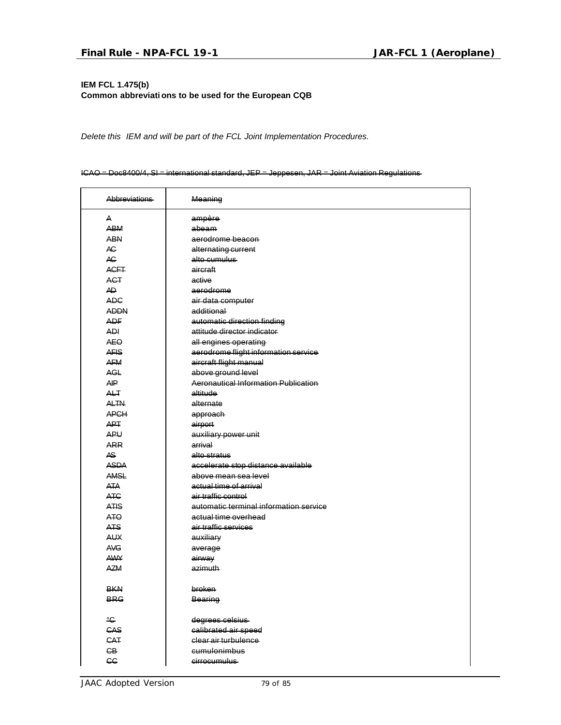# **IEM FCL 1.475(b) Common abbreviati ons to be used for the European CQB**

*Delete this IEM and will be part of the FCL Joint Implementation Procedures.*

#### ICAO = Doc8400/4, SI = international standard, JEP = Jeppesen, JAR = Joint Aviation Regulations

| <b>Abbreviations</b> | Meaning                                     |
|----------------------|---------------------------------------------|
| A                    | ampère                                      |
| <b>ABM</b>           | abeam                                       |
| <b>ABN</b>           | aerodrome beacon                            |
| AC.                  | alternating current                         |
| AC.                  | alto cumulus                                |
| <b>ACFT</b>          | aircraft                                    |
| <b>ACT</b>           | active                                      |
| AD.                  | aerodrome                                   |
| <b>ADC</b>           | air data computer                           |
| <b>ADDN</b>          | additional                                  |
| <b>ADF</b>           | automatic direction finding                 |
| ADI                  | attitude director indicator                 |
| <b>AEO</b>           | all engines operating                       |
| <b>AFIS</b>          | aerodrome flight information service        |
| <b>AFM</b>           | aircraft flight manual                      |
| <b>AGL</b>           | above ground level                          |
| AIP                  | <b>Aeronautical Information Publication</b> |
| <b>ALT</b>           | altitude                                    |
| <b>ALTN</b>          | alternate                                   |
| <b>APCH</b>          | approach                                    |
| <b>APT</b>           | airport                                     |
| <b>APU</b>           | auxiliary power unit                        |
| <b>ARR</b>           | arrival                                     |
| AS.                  | alto stratus                                |
| <b>ASDA</b>          | accelerate stop distance available          |
| AMSL                 | above mean sea level                        |
| <b>ATA</b>           | actual time of arrival                      |
| <b>ATC</b>           | air traffic control                         |
| <b>ATIS</b>          | automatic terminal information service      |
| ATO                  | actual time overhead                        |
| <b>ATS</b>           | air traffic services                        |
| <b>AUX</b>           | auxiliary                                   |
| <b>AVG</b>           | average                                     |
| <b>AWY</b>           | airway                                      |
| <b>AZM</b>           | azimuth                                     |
|                      |                                             |
| <b>BKN</b>           | <b>broken</b>                               |
| <b>BRG</b>           | <b>Bearing</b>                              |
| $^{\circ}$ C         | degrees celsius                             |
| CAS                  | calibrated air speed                        |
| CAT                  | clear air turbulence                        |
| CB.                  | cumulonimbus                                |
| <b>CC</b>            | cirrocumulus                                |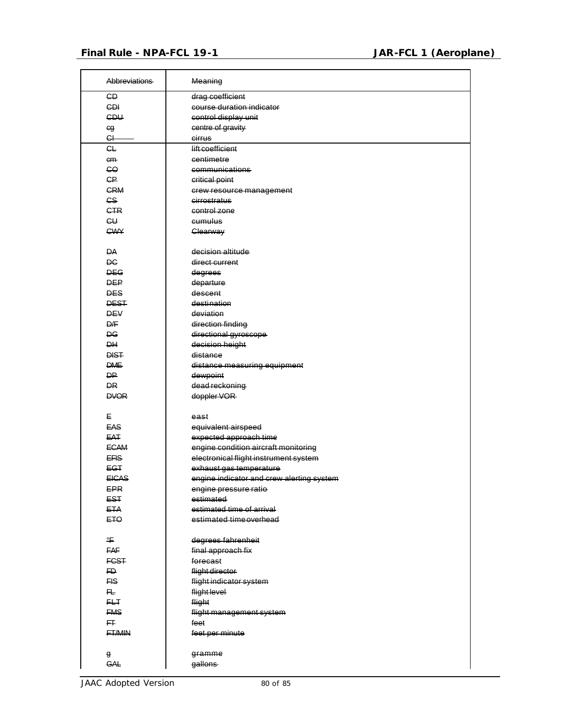$\mathbf{r}$ 

 $\overline{\phantom{0}}$ 

| <b>Abbreviations</b> | Meaning                                   |
|----------------------|-------------------------------------------|
| <b>GD</b>            | drag coefficient                          |
| <b>CDI</b>           | course duration indicator                 |
| <b>CDU</b>           | control display unit                      |
| eg                   | centre of gravity                         |
| G                    | cirrus                                    |
| CL                   | lift coefficient                          |
| cm                   | centimetre                                |
| 60                   | communications                            |
| <b>CP</b>            | critical point                            |
| <b>CRM</b>           | crew resource management                  |
| CS                   | cirrostratus                              |
| <b>CTR</b>           | control zone                              |
| $c\cup$              | cumulus                                   |
| <b>CWY</b>           | Clearway                                  |
|                      |                                           |
| <b>DA</b>            | decision altitude                         |
| <b>DC</b>            | direct current                            |
| <b>DEG</b>           |                                           |
| <b>DEP</b>           | degrees                                   |
| <b>DES</b>           | departure<br>descent                      |
| <b>DEST</b>          | destination                               |
|                      |                                           |
| <b>DEV</b>           | deviation                                 |
| D/F                  | direction finding                         |
| ĐG<br><b>DH</b>      | directional gyroscope                     |
| <b>DIST</b>          | decision height                           |
|                      | distance                                  |
| <b>DME</b>           | distance measuring equipment              |
| D₽                   | dewpoint                                  |
| <b>DR</b>            | dead reckoning                            |
| <b>DVOR</b>          | doppler VOR                               |
| Е                    | east                                      |
| EAS                  | equivalent airspeed                       |
| EAT                  | expected approach time                    |
| <b>ECAM</b>          | engine condition aircraft monitoring      |
| EFIS-                | electronical flight instrument system     |
| EGT                  | exhaust gas temperature                   |
| <b>EICAS</b>         | engine indicator and crew alerting system |
| EPR                  | engine pressure ratio                     |
| <b>EST</b>           | estimated                                 |
| <b>ETA</b>           | estimated time of arrival                 |
| ETO                  | estimated time overhead                   |
|                      |                                           |
| ℉                    | degrees fahrenheit                        |
| FAF                  | final approach fix                        |
| <b>FCST</b>          | forecast                                  |
| FD.                  | flight director                           |
| FIS                  | flight indicator system                   |
| 圧                    | flight level                              |
| FLT.                 | flight                                    |
| <b>FMS</b>           | flight management system                  |
| 圧                    | feet                                      |
| <b>FT/MIN</b>        | feet per minute                           |
|                      | gramme                                    |
| g<br><b>GAL</b>      | gallons                                   |
|                      |                                           |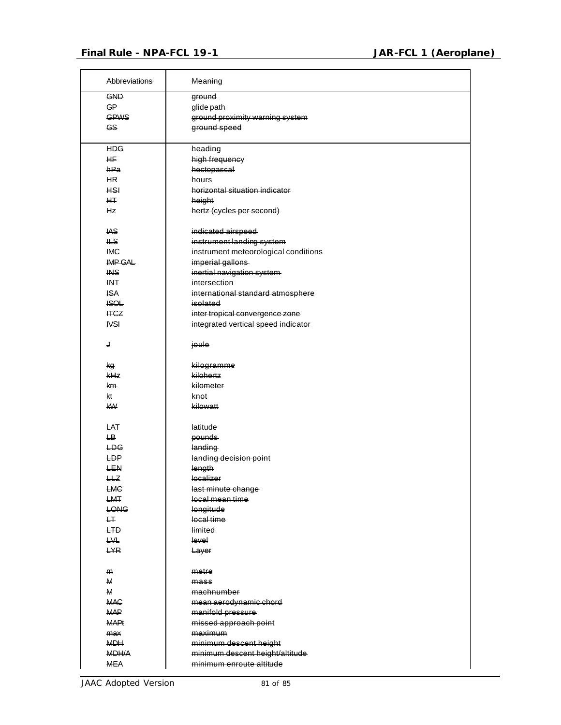| <b>Abbreviations</b> | Meaning                                                     |
|----------------------|-------------------------------------------------------------|
| <b>GND</b>           | ground                                                      |
| <b>GP</b>            | glide path-                                                 |
| <b>GPWS</b>          | ground proximity warning system                             |
| <b>GS</b>            | ground speed                                                |
|                      |                                                             |
| <b>HDG</b>           | heading                                                     |
| <b>HF</b>            | high frequency                                              |
| hPa                  | hectopascal                                                 |
| H <sub>R</sub>       | hours                                                       |
| <b>HSI</b>           | horizontal situation indicator                              |
| HT.                  | height                                                      |
| <b>Hz</b>            | hertz (cycles per second)                                   |
| <b>IAS</b>           | indicated airspeed                                          |
| ۱LS                  | instrument landing system                                   |
|                      |                                                             |
| <b>IMC</b>           | instrument meteorological conditions                        |
| IMP GAL              | imperial gallons                                            |
| <b>INS</b>           | inertial navigation system                                  |
| <b>INT</b>           | intersection                                                |
| <b>ISA</b>           | international standard atmosphere                           |
| <b>ISOL</b>          | isolated                                                    |
| <b>ITCZ</b>          | inter tropical convergence zone                             |
| <b>IVSI</b>          | integrated vertical speed indicator                         |
| J                    | joule                                                       |
| kg                   | kilogramme                                                  |
| kHz                  | kilohertz                                                   |
| km-                  | kilometer                                                   |
| kt                   | knot                                                        |
| <b>kW</b>            | kilowatt                                                    |
| LAT                  | latitude                                                    |
| $\overline{LB}$      | pounds                                                      |
| LDG                  | landing                                                     |
| LDP                  |                                                             |
|                      | landing decision point                                      |
| <b>LEN</b>           | length                                                      |
| HZ                   | localizer                                                   |
| <b>LMC</b>           | last minute change                                          |
| LMT                  | local mean time                                             |
| <b>LONG</b>          | longitude                                                   |
| H                    | local time                                                  |
| LTD.                 | limited                                                     |
| LVL                  | level                                                       |
| <b>LYR</b>           | Layer                                                       |
| m                    | metre                                                       |
| M                    | mass <sub>6</sub>                                           |
| M                    | machnumber                                                  |
| <b>MAC</b>           | mean aerodynamic chord                                      |
| <b>MAP</b>           | manifold pressure                                           |
| <b>MAPt</b>          | missed approach point                                       |
| max                  | maximum                                                     |
| <b>MDH</b>           | minimum descent height                                      |
| MDH/A                |                                                             |
| <b>MEA</b>           | minimum descent height/altitude<br>minimum enroute altitude |
|                      |                                                             |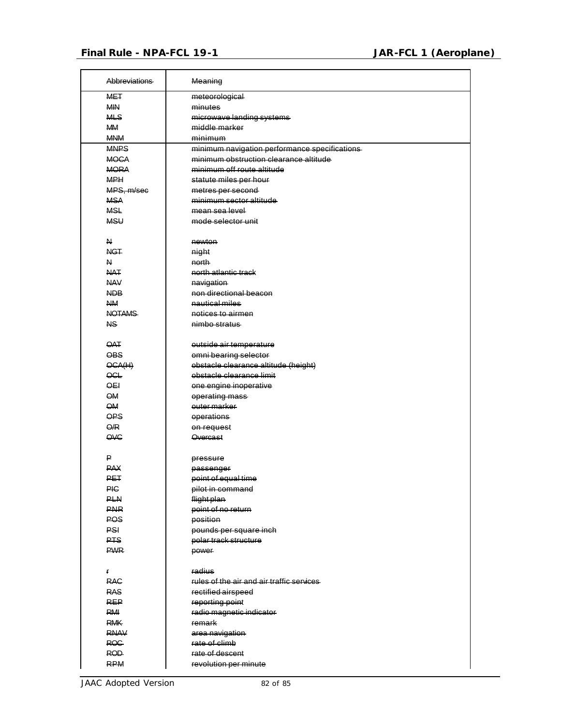$\mathsf{r}$ 

| Abbreviations     | Meaning                                       |
|-------------------|-----------------------------------------------|
| <b>MET</b>        | meteorological                                |
| <b>MIN</b>        | minutes                                       |
| <b>MLS</b>        | microwave landing systems                     |
| <b>MM</b>         | middle marker                                 |
| <b>MNM</b>        | minimum                                       |
| <b>MNPS</b>       | minimum navigation performance specifications |
| <b>MOCA</b>       | minimum obstruction clearance altitude        |
| <b>MORA</b>       | minimum off route altitude                    |
| <b>MPH</b>        | statute miles per hour                        |
| MPS. m/sec        | metres per second                             |
| <b>MSA</b>        | minimum sector altitude                       |
| <b>MSL</b>        | mean sea level                                |
| <b>MSU</b>        | mode selector unit                            |
|                   |                                               |
| N                 | newton                                        |
| <b>NGT</b>        | night                                         |
| N                 | north                                         |
| <b>NAT</b>        | north atlantic track                          |
| <b>NAV</b>        | navigation                                    |
| NDB               | non directional beacon                        |
| <b>NM</b>         | nautical miles                                |
| <b>NOTAMS</b>     | notices to airmen                             |
| NS.               | nimbo stratus                                 |
|                   |                                               |
| <b>OAT</b>        | outside air temperature                       |
| <b>OBS</b>        | omni bearing selector                         |
| OCA(H)            | obstacle clearance altitude (height)          |
| $\overline{OCL}$  | obstacle clearance limit                      |
| $\overline{O}$ EI | one engine inoperative                        |
| <b>OM</b>         | operating mass                                |
| <b>OM</b>         | outer marker                                  |
| OPS               | operations                                    |
| Q/R               | on request                                    |
| OVC               | <b>Overcast</b>                               |
|                   |                                               |
| ₽                 | pressure                                      |
| <b>PAX</b>        | passenger                                     |
| <del>⊔⊾⊦</del>    | point of equal time                           |
| <b>PIC</b>        | pilot in command                              |
| <b>PLN</b>        | flight plan                                   |
| <b>PNR</b>        | point of no return                            |
| <b>POS</b>        | position                                      |
| <b>PSI</b>        | pounds per square inch                        |
| PTS               | polar track structure                         |
| <b>PWR</b>        | power                                         |
|                   |                                               |
| r                 | radius                                        |
| <b>RAC</b>        | rules of the air and air traffic services     |
| <b>RAS</b>        | rectified airspeed                            |
| <b>REP</b>        | reporting point                               |
| <b>RMI</b>        | radio magnetic indicator                      |
| <b>RMK</b>        | remark                                        |
| <b>RNAV</b>       | area navigation                               |
| <b>ROG</b>        | rate of climb                                 |
| ROD               | rate of descent                               |
| <b>RPM</b>        | revolution per minute                         |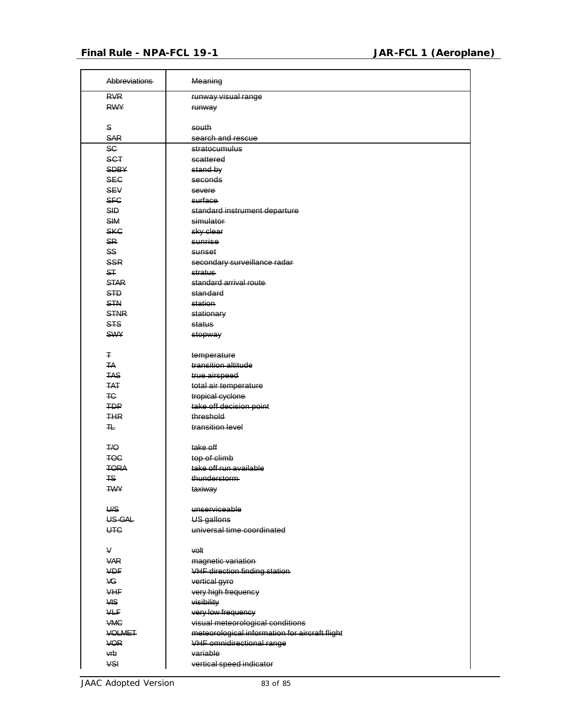| Abbreviations   | Meaning                                        |
|-----------------|------------------------------------------------|
| <b>RVR</b>      | runway visual range                            |
| <b>RWY</b>      | runway                                         |
|                 |                                                |
| S               | south                                          |
| <b>SAR</b>      | search and rescue                              |
| <b>SC</b>       | stratocumulus                                  |
| <b>SCT</b>      | scattered                                      |
| <b>SDBY</b>     | stand by                                       |
| <b>SEC</b>      | seconds                                        |
| <b>SEV</b>      | severe                                         |
| <b>SFC</b>      | surface                                        |
| <b>SID</b>      | standard instrument departure                  |
| <b>SIM</b>      | simulator                                      |
| <b>SKC</b>      | sky clear                                      |
| <b>SR</b>       | sunrise                                        |
| SS <sub>.</sub> | sunset                                         |
| <b>SSR</b>      | secondary surveillance radar                   |
| ST              | stratus                                        |
| <b>STAR</b>     | standard arrival route                         |
| <b>STD</b>      | standard                                       |
| <b>STN</b>      | station                                        |
| <b>STNR</b>     | stationary                                     |
| <b>STS</b>      | status                                         |
| <b>SWY</b>      | stopway                                        |
| Ŧ               | temperature                                    |
| <b>TA</b>       | transition altitude                            |
| <b>TAS</b>      | true airspeed                                  |
| <b>TAT</b>      | total air temperature                          |
| TC-             | tropical cyclone                               |
| <b>TDP</b>      | take off decision point                        |
| <b>THR</b>      | threshold                                      |
| ᠇               | transition level                               |
| T/Q             | take off                                       |
| <b>TOC</b>      | top of climb                                   |
| <b>TORA</b>     | take off run available                         |
| <b>TS</b>       | thunderstorm                                   |
| <b>TWY</b>      | taxiway                                        |
| U/S             | unserviceable                                  |
| US-GAL          | US gallons                                     |
| <b>UTC</b>      | universal time coordinated                     |
| V               |                                                |
| <b>VAR</b>      | volt<br>magnetic variation                     |
| <b>VDF</b>      | <b>VHF direction finding station</b>           |
| VG.             | vertical gyre                                  |
| <b>VHF</b>      | very high frequency                            |
| <b>VIS</b>      | visibility                                     |
| <b>VLF</b>      | very low frequency                             |
| <b>VMC</b>      | visual meteorological conditions               |
| <b>VOLMET</b>   | meteorological information for aircraft flight |
| <b>VOR</b>      | <b>VHF</b> omnidirectional range               |
| vrb             | variable                                       |
| VSI             | vertical speed indicator                       |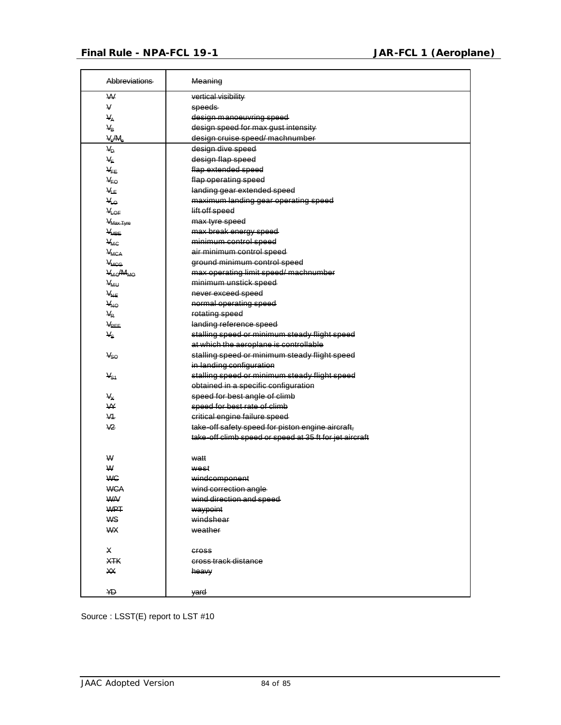| <b>Abbreviations</b>             | Meaning                                                 |
|----------------------------------|---------------------------------------------------------|
| W                                | vertical visibility                                     |
| V                                | speeds-                                                 |
| $V_A$                            | design manoeuvring speed                                |
| $V_B$                            | design speed for max gust intensity                     |
| $V_c/M_c$                        | design cruise speed/ machnumber                         |
| $V_D$                            | design dive speed                                       |
| $V_F$                            | design flap speed                                       |
| $V_{FE}$                         | flap extended speed                                     |
| $V_{FO}$                         | flap operating speed                                    |
| $V_{LE}$                         | landing gear extended speed                             |
| VL <sub>O</sub>                  | maximum landing gear operating speed                    |
| VLOF                             | lift off speed                                          |
| V <sub>Max Tyre</sub>            | max tyre speed                                          |
| <b>V<sub>MBE</sub></b>           | max break energy speed                                  |
| $V_{MC}$                         | minimum control speed                                   |
| <b>V<sub>MCA</sub></b>           | air minimum control speed                               |
| <b>V<sub>MCG</sub></b>           | ground minimum control speed                            |
| V <sub>MO</sub> /M <sub>MO</sub> | max operating limit speed/ machnumber                   |
| <b>V<sub>MU</sub></b>            | minimum unstick speed                                   |
| V <sub>NE</sub>                  | never exceed speed                                      |
| V <sub>NO</sub>                  | normal operating speed                                  |
| $V_R$                            | rotating speed                                          |
| V <sub>REF</sub>                 | landing reference speed                                 |
| $V_{\rm S}$                      | stalling speed or minimum steady flight speed           |
|                                  | at which the aeroplane is controllable                  |
| Vso                              | stalling speed or minimum steady flight speed           |
|                                  | in landing configuration                                |
| $V_{S1}$                         | stalling speed or minimum steady flight speed           |
|                                  | obtained in a specific configuration                    |
| $V_{\rm X}$                      | speed for best angle of climb                           |
| W                                | speed for best rate of climb                            |
| V <sub>1</sub>                   | critical engine failure speed                           |
| V <sub>2</sub>                   | take-off safety speed for piston engine aircraft,       |
|                                  | take-off climb speed or speed at 35 ft for jet aircraft |
| W                                | watt                                                    |
| W                                | west                                                    |
| <b>WC</b>                        | windcomponent                                           |
| <b>WCA</b>                       | wind correction angle                                   |
| <b>WA/</b>                       | wind direction and speed                                |
| <b>WPT</b>                       | waypoint                                                |
| <b>WS</b>                        | windshear                                               |
| <b>WX</b>                        | weather                                                 |
| X                                | <b>GFOSS</b>                                            |
| <b>XTK</b>                       | cross track distance                                    |
| XX                               | heavy                                                   |
| YD                               | yard                                                    |

Source : LSST(E) report to LST #10